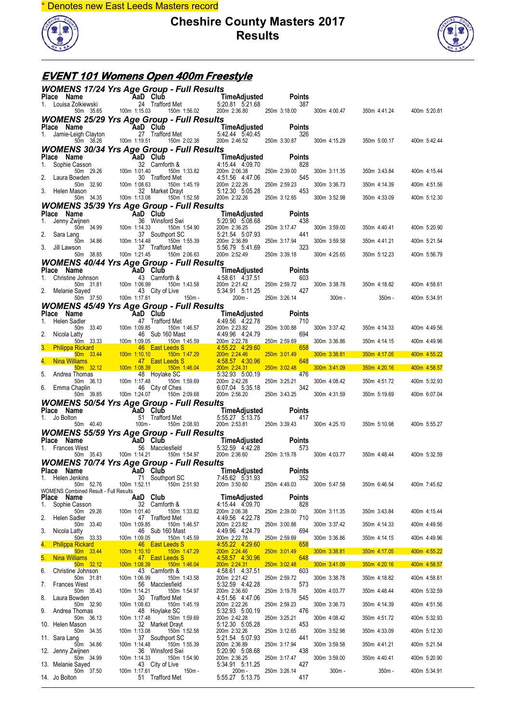\* Denotes new East Leeds Masters record



#### **Cheshire County Masters 2017 Results**



# **EVENT 101 Womens Open 400m Freestyle**

| <b>WOMENS 17/24 Yrs Age Group - Full Results</b>                                                                                             |                                                                                                                                                                                                                               |                                                                |                                                                                                                                                                              |                           |              |                           |              |
|----------------------------------------------------------------------------------------------------------------------------------------------|-------------------------------------------------------------------------------------------------------------------------------------------------------------------------------------------------------------------------------|----------------------------------------------------------------|------------------------------------------------------------------------------------------------------------------------------------------------------------------------------|---------------------------|--------------|---------------------------|--------------|
| Place Name<br>1. Louisa Zolkiewski 24 Trafford Met<br>1. Louisa Zolkiewski 24 Trafford Met<br>1.15.03 150m 1:56.02 200m 2:36.80 250m 3:18.00 |                                                                                                                                                                                                                               |                                                                |                                                                                                                                                                              |                           |              |                           |              |
|                                                                                                                                              |                                                                                                                                                                                                                               |                                                                | 200m 2:36.80 250m 3:18.00                                                                                                                                                    |                           |              | 300m 4:00.47 350m 4:41.24 | 400m 5:20.81 |
| <b>WOMENS 25/29 Yrs Age Group - Full Results</b><br>Place Name                                                                               |                                                                                                                                                                                                                               |                                                                |                                                                                                                                                                              |                           |              |                           |              |
| 1. Jamie-Leigh Clayton                                                                                                                       |                                                                                                                                                                                                                               |                                                                | <b>AaD Club</b> TimeAdjusted Points<br>ton 27 Trafford Met 5:42.44 5:40.45 326                                                                                               |                           |              |                           |              |
| 50m 38.26<br><b>WOMENS 30/34 Yrs Age Group - Full Results</b>                                                                                | 100m 1:19.51                                                                                                                                                                                                                  | 150m 2:02.38                                                   | 200m 2:46.52 250m 3:30.87 300m 4:15.29                                                                                                                                       |                           |              | 350m 5:00.17              | 400m 5:42.44 |
| Place Name                                                                                                                                   |                                                                                                                                                                                                                               |                                                                | AaD Club TimeAdjusted                                                                                                                                                        | <b>Points</b>             |              |                           |              |
| 1. Sophie Casson                                                                                                                             | Casson<br>50m 29.26 100m 1:01.40<br>50m 29.26 100m 1:01.40<br>71 11.40 150m 1:08.63 150m 1<br>1850n 32.90 100m 1:08.63 150m 1<br>1850n 32 Market Dravi                                                                        |                                                                |                                                                                                                                                                              | 828<br>250m 2:39.00       | 300m 3:11.35 | 350m 3:43.84              |              |
| 2.<br>Laura Bowden                                                                                                                           |                                                                                                                                                                                                                               |                                                                |                                                                                                                                                                              | 545                       |              |                           | 400m 4:15.44 |
| 3. Helen Mason                                                                                                                               |                                                                                                                                                                                                                               | 150m 1:45.19                                                   | 200m 2:22.26<br>5.12.30  5.05.28  453                                                                                                                                        | 250m 2:59.23              | 300m 3:36.73 | 350m 4:14.39              | 400m 4:51.56 |
| 50m 34.35                                                                                                                                    | 100m 1:13.08                                                                                                                                                                                                                  | 150m 1:52.58                                                   | 200m 2:32.26 250m 3:12.65                                                                                                                                                    |                           | 300m 3:52.98 | 350m 4:33.09              | 400m 5:12.30 |
| <b>WOMENS 35/39 Yrs Age Group - Full Results</b><br>Place Name                                                                               | <b>Example 2</b> AaD Club                                                                                                                                                                                                     |                                                                |                                                                                                                                                                              |                           |              |                           |              |
| Jenny Zwijnen<br>1.                                                                                                                          | 1 166 Wijnen<br>100m 34.99 100m 1:14.33                                                                                                                                                                                       | 36 Winsford Swi                                                | TimeAdjusted<br>5:20.90 5:08.68 438<br>m 1:54.90 200m 2:36.25 250m 3:17.47<br>SC 5:21.54 5:07.93<br>m 1:55.39 200m 2:36.89 250m 3:17.94<br>let<br>5:56.79 5:41.69 323        |                           |              |                           |              |
| 2. Sara Lang                                                                                                                                 |                                                                                                                                                                                                                               | 150m 1:54.90<br>37 Southport SC                                |                                                                                                                                                                              |                           | 300m 3:59.00 | 350m 4:40.41              | 400m 5:20.90 |
| 50m 34.86                                                                                                                                    | 100m 1:14.48                                                                                                                                                                                                                  | 150m 1:55.39                                                   |                                                                                                                                                                              |                           | 300m 3:59.58 | 350m 4:41.21              | 400m 5:21.54 |
| Jill Lawson<br>50m 38.85                                                                                                                     | 100m 1:21.45                                                                                                                                                                                                                  | 37 Trafford Met<br>150m 2:06.63                                | 200m 2:52.49                                                                                                                                                                 | 250m 3:39.18              | 300m 4:25.65 | 350m 5:12.23              | 400m 5:56.79 |
| <b>WOMENS 40/44 Yrs Age Group - Full Results</b>                                                                                             |                                                                                                                                                                                                                               |                                                                |                                                                                                                                                                              |                           |              |                           |              |
| Place Name<br>Christine Johnson<br>1.                                                                                                        | $A$ and $C$ and $C$ and $C$ and $C$ and $C$ and $D$ and $D$ and $D$ and $D$ and $D$ and $D$ and $D$ and $D$ and $D$ and $D$ and $D$ and $D$ and $D$ and $D$ and $D$ and $D$ and $D$ and $D$ and $D$ and $D$ and $D$ and $D$ a |                                                                | TimeAdjusted                                                                                                                                                                 | <b>Points</b><br>603      |              |                           |              |
| 50m 31.81                                                                                                                                    |                                                                                                                                                                                                                               |                                                                | 43 Carnforth & 458.61 437.51<br>100m 1:06.99 150m 1:43.58 200m 2:21.42<br>43 City of Live 5:34.91 5:11.25                                                                    | 250m 2:59.72 300m 3:38.78 |              | 350m 4:18.82              | 400m 4:58.61 |
| 2. Melanie Sayed<br>50m 37.50                                                                                                                | 100m 1:17.61                                                                                                                                                                                                                  | $150m -$                                                       | 5.34.91 5.11.25 427                                                                                                                                                          | 200m - 250m 3:26.14       | $300m -$     | 350m -                    | 400m 5:34.91 |
| <b>WOMENS 45/49 Yrs Age Group - Full Results</b>                                                                                             |                                                                                                                                                                                                                               |                                                                |                                                                                                                                                                              |                           |              |                           |              |
| Place Name<br>1. Helen Sadler                                                                                                                | <b>EXECUTE:</b> THE CONTROL CONTRACT CONTRACT CONTRACT TREAD Club<br>adder 47 Traffor<br>the 33.33 100m 1:09.85<br>50m 33.33 100m 1:09.05                                                                                     | 47 Trafford Met                                                | 4:49.56 4:22.78                                                                                                                                                              | <b>Points</b><br>710      |              |                           |              |
|                                                                                                                                              |                                                                                                                                                                                                                               | 150m 1:46.57                                                   | 4.49.55<br>200m 2:23.82<br>4.49.96 4:24.79<br>4.59 200m 2:22.78<br>4.55.22 4:29.60                                                                                           | 250m 3:00.88              | 300m 3:37.42 | 350m 4:14.33              | 400m 4:49.56 |
| 2.<br>Nicola Latty                                                                                                                           |                                                                                                                                                                                                                               | 46 Sub 160 Mast<br>150m 1:45.59                                |                                                                                                                                                                              | 694<br>250m 2:59.69       | 300m 3:36.86 | 350m 4:14.15              | 400m 4:49.96 |
| 3. Philippa Rickard <b>Philippa Rickard</b>                                                                                                  |                                                                                                                                                                                                                               |                                                                |                                                                                                                                                                              | 658                       |              |                           |              |
| 50m 33.44<br>4. Nina Williams                                                                                                                |                                                                                                                                                                                                                               |                                                                |                                                                                                                                                                              | 250m 3:01.49<br>648       | 300m 3:38.81 | 350m 4:17.05              | 400m 4:55.22 |
| $50m$ 32.12<br>5.<br>Andrea Thomas                                                                                                           |                                                                                                                                                                                                                               |                                                                | 1.47 East Leeds S<br>100m 1.08.39 150m 1.46.04 200m 2.24.46<br>100m 1.08.39 150m 1.46.04 200m 2.24.31<br>18 Hoylake SC 5.32.93 5.100 1.17.48 150m 1.59 69<br>16 City 1.59 69 | 250m 3:02.48<br>476       | 300m 3:41.09 | 350m 4:20.16              | 400m 4:58.57 |
| 50m 36.13                                                                                                                                    |                                                                                                                                                                                                                               |                                                                |                                                                                                                                                                              | 250m 3:25.21              | 300m 4:08.42 | 350m 4:51.72              | 400m 5:32.93 |
| 6. Emma Chaplin<br>50m 39.85                                                                                                                 |                                                                                                                                                                                                                               |                                                                | 6:07.04 5:35.18<br>200m 2:56.20                                                                                                                                              | 342<br>250m 3:43.25       | 300m 4:31.59 | 350m 5:19.69              | 400m 6:07.04 |
| <b>WOMENS 50/54 Yrs Age Group - Full Results</b>                                                                                             |                                                                                                                                                                                                                               |                                                                |                                                                                                                                                                              |                           |              |                           |              |
| Place Name<br>1. Jo Bolton                                                                                                                   |                                                                                                                                                                                                                               | <b>AD Club</b><br>51 Trafford Met<br>40.40 100m - 150m 2:08.93 | <b>TimeAdjusted</b> Points<br>5:55.27 5:13.75 417                                                                                                                            |                           |              |                           |              |
| 50m 40.40                                                                                                                                    |                                                                                                                                                                                                                               |                                                                | 200m 2:53.81 250m 3:39.43 300m 4:25.10                                                                                                                                       |                           |              | 350m 5:10.98              | 400m 5:55.27 |
| <b>WOMENS 55/59 Yrs Age Group - Full Results</b>                                                                                             |                                                                                                                                                                                                                               |                                                                |                                                                                                                                                                              |                           |              |                           |              |
| Place Name<br>1. Frances West                                                                                                                | AaD Club<br>56 Maccle                                                                                                                                                                                                         | 56 Macclesfield                                                | TimeAdjusted<br>5:32.59 4:42.28                                                                                                                                              | <b>Points</b><br>573      |              |                           |              |
| 50m 35.43                                                                                                                                    |                                                                                                                                                                                                                               | 100m 1:14.21  150m 1:54.97                                     | 200m 2:36.60 250m 3:19.78 300m 4:03.77                                                                                                                                       |                           |              | 350m 4:48.44              | 400m 5:32.59 |
| <b>WOMENS 70/74 Yrs Age Group - Full Results</b><br>Place Name <b>AaD</b> Club <b>TimeAdjusted</b>                                           |                                                                                                                                                                                                                               |                                                                |                                                                                                                                                                              | <b>Points</b>             |              |                           |              |
| 1. Helen Jenkins                                                                                                                             |                                                                                                                                                                                                                               | 71 Southport SC                                                | 7:45.62 5.31.93                                                                                                                                                              | 352                       |              |                           |              |
| 50m 52.76<br>WOMENS Combined Result - Full Results                                                                                           | 100m 1:52.11                                                                                                                                                                                                                  | 150m 2:51.93                                                   | 200m 3:50.60                                                                                                                                                                 | 250m 4:49.03              | 300m 5:47.58 | 350m 6:46.54              | 400m 7:45.62 |
| Place Name<br>Sophie Casson<br>1.                                                                                                            | AaD Club                                                                                                                                                                                                                      | 32 Carnforth &                                                 | TimeAdjusted<br>4:15.44 4:09.70                                                                                                                                              | <b>Points</b><br>828      |              |                           |              |
| 50m 29.26                                                                                                                                    | 100m 1:01.40                                                                                                                                                                                                                  | 150m 1:33.82                                                   | 200m 2:06.38                                                                                                                                                                 | 250m 2:39.00              | 300m 3:11.35 | 350m 3:43.84              | 400m 4:15.44 |
| 2.<br>Helen Sadler<br>50m 33.40                                                                                                              | 100m 1:09.85                                                                                                                                                                                                                  | 47 Trafford Met<br>150m 1:46.57                                | 4:49.56 4:22.78<br>200m 2:23.82                                                                                                                                              | 710<br>250m 3:00.88       | 300m 3:37.42 | 350m 4:14.33              | 400m 4:49.56 |
| 3.<br>Nicola Latty                                                                                                                           |                                                                                                                                                                                                                               | 46 Sub 160 Mast                                                | 4:49.96 4:24.79                                                                                                                                                              | 694                       |              |                           |              |
| 50m 33.33<br><b>Philippa Rickard</b><br>4.                                                                                                   | 100m 1:09.05                                                                                                                                                                                                                  | 150m 1:45.59<br>46 East Leeds S                                | 200m 2:22.78<br>4:55.22 4:29.60                                                                                                                                              | 250m 2:59.69<br>658       | 300m 3:36.86 | 350m 4:14.15              | 400m 4:49.96 |
| 50m 33.44<br>5.<br><b>Nina Williams</b>                                                                                                      | 100m 1:10.10                                                                                                                                                                                                                  | 150m 1:47.29<br>47 East Leeds S                                | 200m 2:24.46<br>4:58.57 4:30.96                                                                                                                                              | 250m 3:01.49<br>648       | 300m 3:38.81 | 350m 4:17.05              | 400m 4:55.22 |
| 50m 32.12                                                                                                                                    | 100m 1:08.39                                                                                                                                                                                                                  | 150m 1:46.04                                                   | 200m 2:24.31                                                                                                                                                                 | 250m 3:02.48              | 300m 3:41.09 | 350m 4:20.16              | 400m 4:58.57 |
| 6.<br>Christine Johnson<br>50m 31.81                                                                                                         | 100m 1:06.99                                                                                                                                                                                                                  | 43 Carnforth &<br>150m 1:43.58                                 | 4:58.61 4:37.51<br>200m 2:21.42                                                                                                                                              | 603<br>250m 2:59.72       | 300m 3:38.78 | 350m 4:18.82              | 400m 4:58.61 |
| <b>Frances West</b><br>7.<br>50m 35.43                                                                                                       | 100m 1:14.21                                                                                                                                                                                                                  | 56 Macclesfield<br>150m 1:54.97                                | 5:32.59 4.42.28<br>200m 2:36.60                                                                                                                                              | 573<br>250m 3:19.78       | 300m 4:03.77 | 350m 4:48.44              | 400m 5:32.59 |
| 8.<br>Laura Bowden                                                                                                                           |                                                                                                                                                                                                                               | 30 Trafford Met                                                | 4:51.56 4:47.06                                                                                                                                                              | 545                       |              |                           |              |
| 50m 32.90<br>9.<br>Andrea Thomas                                                                                                             | 100m 1:08.63                                                                                                                                                                                                                  | 150m 1:45.19<br>48 Hoylake SC                                  | 200m 2:22.26<br>5:32.93 5:00.19                                                                                                                                              | 250m 2:59.23<br>476       | 300m 3:36.73 | 350m 4:14.39              | 400m 4:51.56 |
| 50m 36.13                                                                                                                                    | 100m 1:17.48                                                                                                                                                                                                                  | 150m 1:59.69                                                   | 200m 2:42.28                                                                                                                                                                 | 250m 3:25.21              | 300m 4:08.42 | 350m 4:51.72              | 400m 5:32.93 |
| 10. Helen Mason<br>50m 34.35                                                                                                                 | 100m 1:13.08                                                                                                                                                                                                                  | 32 Market Drayt<br>150m 1:52.58                                | 5:12.30 5:05.28<br>200m 2:32.26                                                                                                                                              | 453<br>250m 3:12.65       | 300m 3:52.98 | 350m 4:33.09              | 400m 5:12.30 |
| 11. Sara Lang<br>50m 34.86                                                                                                                   | 100m 1:14.48                                                                                                                                                                                                                  | 37 Southport SC<br>150m 1:55.39                                | 5:21.54 5:07.93<br>200m 2:36.89                                                                                                                                              | 441<br>250m 3:17.94       | 300m 3:59.58 | 350m 4:41.21              | 400m 5:21.54 |
| 12. Jenny Zwijnen                                                                                                                            |                                                                                                                                                                                                                               | 36 Winsford Swi                                                | 5:20.90 5:08.68                                                                                                                                                              | 438                       |              |                           |              |
| 50m 34.99<br>13. Melanie Sayed                                                                                                               | 100m 1:14.33                                                                                                                                                                                                                  | 150m 1:54.90<br>43 City of Live                                | 200m 2:36.25<br>5:34.91 5:11.25                                                                                                                                              | 250m 3:17.47<br>427       | 300m 3:59.00 | 350m 4:40.41              | 400m 5:20.90 |
| 50m 37.50<br>14. Jo Bolton                                                                                                                   | 100m 1:17.61                                                                                                                                                                                                                  | 150m -                                                         | 200m -<br>5:55.27 5:13.75                                                                                                                                                    | 250m 3:26.14              | $300m -$     | $350m -$                  | 400m 5:34.91 |
|                                                                                                                                              |                                                                                                                                                                                                                               | 51 Trafford Met                                                |                                                                                                                                                                              | 417                       |              |                           |              |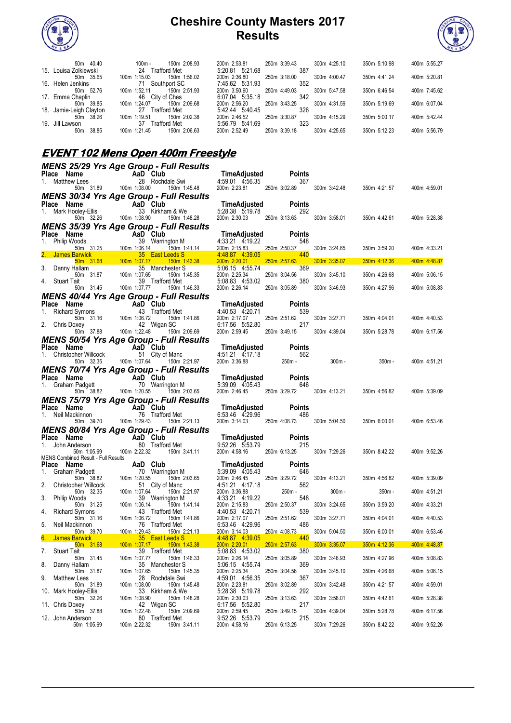



| 50m 40.40                | 150m 2:08.93<br>$100m -$     | 200m 2:53.81    | 250m 3:39.43 | 300m 4:25.10 | 350m 5:10.98 | 400m 5:55.27 |
|--------------------------|------------------------------|-----------------|--------------|--------------|--------------|--------------|
| 15. Louisa Zolkiewski    | Trafford Met<br>24           | 5:20.81 5:21.68 | 387          |              |              |              |
| 50m 35.65                | 150m 1:56.02<br>100m 1:15.03 | 200m 2:36.80    | 250m 3:18.00 | 300m 4:00.47 | 350m 4:41.24 | 400m 5:20.81 |
| 16. Helen Jenkins        | Southport SC<br>71           | 7.45.62 5.31.93 | 352          |              |              |              |
| 50m 52.76                | 150m 2:51.93<br>100m 1:52.11 | 200m 3:50.60    | 250m 4:49.03 | 300m 5:47.58 | 350m 6:46.54 | 400m 7:45.62 |
| 17. Emma Chaplin         | 46 City of Ches              | 6.07.04 5:35.18 | 342          |              |              |              |
| 39.85<br>50m             | 150m 2:09.68<br>100m 1:24.07 | 200m 2:56.20    | 250m 3:43.25 | 300m 4:31.59 | 350m 5:19.69 | 400m 6:07.04 |
| 18. Jamie-Leigh Clayton  | Trafford Met<br>27           | 5:42:44 5:40:45 | 326          |              |              |              |
| 38.26<br>50 <sub>m</sub> | 150m 2:02.38<br>100m 1:19.51 | 200m 2:46.52    | 250m 3:30.87 | 300m 4:15.29 | 350m 5:00.17 | 400m 5:42.44 |
| 19. Jill Lawson          | 37<br>Гrafford Met           | 5:56.79 5:41.69 | 323          |              |              |              |
| 38.85<br>50 <sub>m</sub> | 150m 2:06.63<br>100m 1:21.45 | 200m 2:52.49    | 250m 3:39.18 | 300m 4:25.65 | 350m 5:12.23 | 400m 5:56.79 |

## **EVENT 102 Mens Open 400m Freestyle**

|                                                                                                                                                                                                                                                           | <b>MENS 25/29 Yrs Age Group - Full Results</b>                                                                                                                                                                                                               |                                                                                                                                       |                         |              |                    |              |
|-----------------------------------------------------------------------------------------------------------------------------------------------------------------------------------------------------------------------------------------------------------|--------------------------------------------------------------------------------------------------------------------------------------------------------------------------------------------------------------------------------------------------------------|---------------------------------------------------------------------------------------------------------------------------------------|-------------------------|--------------|--------------------|--------------|
| Place Name<br>1. Matthew Lees 28 Rochd<br>50m 31.89 100m 1:08.00                                                                                                                                                                                          |                                                                                                                                                                                                                                                              | TimeAdjusted Po<br>4:59.01  4:56.35                                                                                                   | Points                  |              |                    |              |
|                                                                                                                                                                                                                                                           | 28 Rochdale Swi<br>150m 1:45.48                                                                                                                                                                                                                              | 200m 2:23.81 250m 3:02.89                                                                                                             | 367                     | 300m 3:42.48 | 350m 4:21.57       | 400m 4:59.01 |
|                                                                                                                                                                                                                                                           | MENS 30/34 Yrs Age Group - Full Results                                                                                                                                                                                                                      |                                                                                                                                       |                         |              |                    |              |
|                                                                                                                                                                                                                                                           |                                                                                                                                                                                                                                                              | TimeAdjusted                                                                                                                          | Points                  |              |                    |              |
| Place Name AaD Club<br>1. Mark Hooley-Ellis 33 Kirkhai<br>50m 32.26 100m 1:08.90                                                                                                                                                                          | 33 Kirkham & We                                                                                                                                                                                                                                              | 5:28.38 5.19.78                                                                                                                       | 292                     |              |                    |              |
|                                                                                                                                                                                                                                                           | 150m 1:48.28                                                                                                                                                                                                                                                 | 200m 2:30.03 250m 3:13.63                                                                                                             |                         | 300m 3:58.01 | 350m 4:42.61       | 400m 5:28.38 |
|                                                                                                                                                                                                                                                           | <b>MENS 35/39 Yrs Age Group - Full Results</b>                                                                                                                                                                                                               |                                                                                                                                       |                         |              |                    |              |
| Place Name<br>1. Philip Woods                                                                                                                                                                                                                             |                                                                                                                                                                                                                                                              | TimeAdjusted<br>4:33.21 4:19.22                                                                                                       | Points<br>548           |              |                    |              |
|                                                                                                                                                                                                                                                           | 150m 1:41.14                                                                                                                                                                                                                                                 | 200m 2:15.83                                                                                                                          | 250m 2:50.37            | 300m 3:24.65 | 350m 3:59.20       | 400m 4:33.21 |
| 2. James Barwick                                                                                                                                                                                                                                          |                                                                                                                                                                                                                                                              | 4.48.87 4.39.05                                                                                                                       | 440                     |              |                    |              |
| 3. Danny Hallam                                                                                                                                                                                                                                           | Voltaire Christman Company Christman Christman Christman Christman Christman Christman Christman Christman Christman Christman Christman Christman Christman Christman Christman Christman Christman Christman Christman Chris                               | 200m 2:20.01<br>5:06.15 4:55.74                                                                                                       | $250m$ $2:57.63$<br>369 | 300m 3:35.07 | 350m 4:12.36       | 400m 4:48.87 |
|                                                                                                                                                                                                                                                           |                                                                                                                                                                                                                                                              | 200m 2:25.34                                                                                                                          | 250m 3:04.56            | 300m 3:45.10 | 350m 4:26.68       | 400m 5:06.15 |
| Stuart Tait<br>4.                                                                                                                                                                                                                                         | 50m 31.45 100m 1:07.77<br>150m 1:46.33                                                                                                                                                                                                                       | 5:08.83 4:53.02<br>200m 2:26.14                                                                                                       | 380<br>250m 3:05.89     | 300m 3:46.93 | 350m 4:27.96       | 400m 5:08.83 |
|                                                                                                                                                                                                                                                           | <b>MENS 40/44 Yrs Age Group - Full Results</b>                                                                                                                                                                                                               |                                                                                                                                       |                         |              |                    |              |
|                                                                                                                                                                                                                                                           | <b>Place Name</b><br>1. Richard Symons<br>1. Richard Symons<br>1. Som 31.16<br>2. Chris Doxey<br>1. Som 37.88<br>1. 1.22.48<br>1.22.48<br>1.1.22.48<br>1.1.22.48<br>1.1.22.48<br>1.1.22.48<br>1.1.22.48                                                      | TimeAdjusted                                                                                                                          | <b>Points</b>           |              |                    |              |
|                                                                                                                                                                                                                                                           |                                                                                                                                                                                                                                                              | 4:40.53 4:20.71                                                                                                                       | 539                     |              |                    |              |
|                                                                                                                                                                                                                                                           | 150m 1:41.86                                                                                                                                                                                                                                                 | 200m 2:17.07<br>6:17.56 5:52.80                                                                                                       | 250m 2:51.62<br>217     | 300m 3:27.71 | 350m 4:04.01       | 400m 4:40.53 |
|                                                                                                                                                                                                                                                           | 150m 2:09.69                                                                                                                                                                                                                                                 | 200m 2:59.45                                                                                                                          | 250m 3:49.15            | 300m 4:39.04 | 350m 5:28.78       | 400m 6:17.56 |
|                                                                                                                                                                                                                                                           | <b>MENS 50/54 Yrs Age Group - Full Results</b>                                                                                                                                                                                                               |                                                                                                                                       |                         |              |                    |              |
|                                                                                                                                                                                                                                                           | <b>Place Name AaD Club</b><br>1. Christopher Willcock 51 City of Manc<br>50m 32.35 100m 1:07.64 150m 2:21.97                                                                                                                                                 | <b>TimeAdjusted</b> Points<br>4:51.21  4:17.18   562<br>200m   3:36.88   250m   -                                                     |                         |              |                    |              |
|                                                                                                                                                                                                                                                           |                                                                                                                                                                                                                                                              |                                                                                                                                       |                         |              | $300m -$<br>350m - |              |
|                                                                                                                                                                                                                                                           | MENS 70/74 Yrs Age Group - Full Results                                                                                                                                                                                                                      |                                                                                                                                       |                         |              |                    | 400m 4:51.21 |
|                                                                                                                                                                                                                                                           |                                                                                                                                                                                                                                                              |                                                                                                                                       | <b>Points</b>           |              |                    |              |
|                                                                                                                                                                                                                                                           | Place Name<br>1. Graham Padgett<br>50m 38.82<br>100m 1:20.55<br>150m 2:                                                                                                                                                                                      | TimeAdjusted<br>5:39.09 4.05.43<br>5:39.09 4:05.43                                                                                    | 646                     |              |                    |              |
|                                                                                                                                                                                                                                                           | 150m 2:03.65                                                                                                                                                                                                                                                 | 200m 2:46.45 250m 3:29.72                                                                                                             |                         | 300m 4:13.21 | 350m 4:56.82       | 400m 5:39.09 |
|                                                                                                                                                                                                                                                           | <b>MENS 75/79 Yrs Age Group - Full Results</b>                                                                                                                                                                                                               |                                                                                                                                       |                         |              |                    |              |
|                                                                                                                                                                                                                                                           | <b>Place Name AaD Club</b><br>1. Neil Mackinnon 76 Trafford Met                                                                                                                                                                                              | 6:53.46 4:29.96                                                                                                                       | <b>Points</b><br>486    |              |                    |              |
|                                                                                                                                                                                                                                                           | 50m 39.70 100m 1:29.43 150m 2:21.13                                                                                                                                                                                                                          | 200m 3:14.03 250m 4:08.73                                                                                                             |                         | 300m 5:04.50 | 350m 6:00.01       | 400m 6:53.46 |
|                                                                                                                                                                                                                                                           | <b>MENS 80/84 Yrs Age Group - Full Results</b>                                                                                                                                                                                                               |                                                                                                                                       |                         |              |                    |              |
| Place Name                                                                                                                                                                                                                                                | n <b>AaD Club</b><br>n 80 Trafford Met                                                                                                                                                                                                                       | $Time {\sf Adjusted}$                                                                                                                 | <b>Points</b>           |              |                    |              |
| 1. John Anderson<br>50m 1:05.69                                                                                                                                                                                                                           | 100m 2:22.32 150m 3:41.11                                                                                                                                                                                                                                    | 9:52.26 5:53.79<br>200m 4:58.16 250m 6:13.25                                                                                          | 215                     | 300m 7:29.26 | 350m 8:42.22       | 400m 9:52.26 |
| MENS Combined Result - Full Results                                                                                                                                                                                                                       |                                                                                                                                                                                                                                                              |                                                                                                                                       |                         |              |                    |              |
| Place Name<br>1.                                                                                                                                                                                                                                          | IS Combined Result - Full Results<br><b>Combined Result - Full Results</b><br>Graham Padgett 70 Warrington M 5:39.09 4:05.43<br>50m 38.82 100m 1:20.55 150m 2:03.65 200m 2:46.45<br>Christopher Willcock 51 City of Manc<br>$\therefore$ <sup>50m</sup>      |                                                                                                                                       | <b>Points</b><br>646    |              |                    |              |
|                                                                                                                                                                                                                                                           |                                                                                                                                                                                                                                                              |                                                                                                                                       | 250m 3:29.72            | 300m 4:13.21 | 350m 4:56.82       | 400m 5:39.09 |
| 2.                                                                                                                                                                                                                                                        |                                                                                                                                                                                                                                                              |                                                                                                                                       | 562                     |              |                    |              |
| 3.<br>Philip Woods                                                                                                                                                                                                                                        | 39 Warrington M                                                                                                                                                                                                                                              | 4:33.21 4:19.22                                                                                                                       | 250m -<br>548           | $300m -$     | $350m -$           | 400m 4:51.21 |
|                                                                                                                                                                                                                                                           |                                                                                                                                                                                                                                                              |                                                                                                                                       |                         | 300m 3:24.65 | 350m 3:59.20       | 400m 4:33.21 |
| 3. Finite volume<br>4. Richard Symons<br>4. Richard Symons<br>5. Neil Mackinnon<br>5. Neil Mackinnon<br>6. James Barwick<br>6. James Barwick<br>5. The Care of Mackinnon 100m 1:29.43<br>5. The Care of Mackinnon 100m 1:29.43<br>5. The Care of Mackinno | 35<br>2006 21 March 2006 2:15.83<br>2007 2:15.83<br>2007 2:15.83<br>2007 2:15.83<br>2007 2:17.07<br>2007 2:17.07<br>2007 2:17.07<br>2007 2:17.07<br>2007 2:17.07<br>2007 2:17.07<br>2007 2:17.07<br>2007 2:17.07<br>2007 2:17.07<br>2007 2:17.07<br>2007 2:1 |                                                                                                                                       |                         | 300m 3:27.71 | 350m 4:04.01       | 400m 4:40.53 |
|                                                                                                                                                                                                                                                           |                                                                                                                                                                                                                                                              |                                                                                                                                       |                         |              |                    |              |
|                                                                                                                                                                                                                                                           |                                                                                                                                                                                                                                                              |                                                                                                                                       |                         | 300m 5:04.50 | 350m 6:00.01       | 400m 6:53.46 |
| 50m 31.68                                                                                                                                                                                                                                                 |                                                                                                                                                                                                                                                              | 200m 2:20.01<br><b>Contract Contract Contract Contract Contract Contract Contract Contract Contract Contract Contract Contract Co</b> | 250m 2:57.63            | 300m 3:35.07 | 350m 4:12.36       | 400m 4:48.87 |
| 7.<br>Stuart Tait                                                                                                                                                                                                                                         | 39 Trafford Met                                                                                                                                                                                                                                              | 5:08.83 4:53.02                                                                                                                       | 380                     |              |                    |              |
| 50m 31.45<br>8.<br>Danny Hallam                                                                                                                                                                                                                           | 100m 1:07.77<br>150m 1:46.33<br>35 Manchester S                                                                                                                                                                                                              | 200m 2:26.14<br>5:06.15 4:55.74                                                                                                       | 250m 3:05.89<br>369     | 300m 3:46.93 | 350m 4:27.96       | 400m 5:08.83 |
| 50m 31.87                                                                                                                                                                                                                                                 | 100m 1:07.65<br>150m 1:45.35                                                                                                                                                                                                                                 | 200m 2:25.34                                                                                                                          | 250m 3:04.56            | 300m 3:45.10 | 350m 4:26.68       | 400m 5:06.15 |
| 9.<br>Matthew Lees                                                                                                                                                                                                                                        | 28 Rochdale Swi                                                                                                                                                                                                                                              | 4:59.01 4:56.35                                                                                                                       | 367                     |              |                    |              |
| 50m 31.89<br>10. Mark Hooley-Ellis                                                                                                                                                                                                                        | 100m 1:08.00<br>150m 1:45.48<br>33 Kirkham & We                                                                                                                                                                                                              | 200m 2:23.81<br>5:28.38 5:19.78                                                                                                       | 250m 3:02.89<br>292     | 300m 3:42.48 | 350m 4:21.57       | 400m 4:59.01 |
| 50m 32.26                                                                                                                                                                                                                                                 | 100m 1:08.90<br>150m 1:48.28                                                                                                                                                                                                                                 | 200m 2:30.03                                                                                                                          | 250m 3:13.63            | 300m 3:58.01 | 350m 4:42.61       | 400m 5:28.38 |
| 11. Chris Doxey<br>50m 37.88                                                                                                                                                                                                                              | 42 Wigan SC<br>100m 1:22.48<br>150m 2:09.69                                                                                                                                                                                                                  | 6:17.56 5:52.80<br>200m 2:59.45                                                                                                       | 217<br>250m 3:49.15     | 300m 4:39.04 | 350m 5:28.78       | 400m 6:17.56 |
| 12. John Anderson                                                                                                                                                                                                                                         | 80 Trafford Met                                                                                                                                                                                                                                              | 9:52.26 5:53.79                                                                                                                       | 215                     |              |                    |              |
| 50m 1:05.69                                                                                                                                                                                                                                               | 100m 2:22.32<br>150m 3:41.11                                                                                                                                                                                                                                 | 200m 4:58.16                                                                                                                          | 250m 6:13.25            | 300m 7:29.26 | 350m 8:42.22       | 400m 9:52.26 |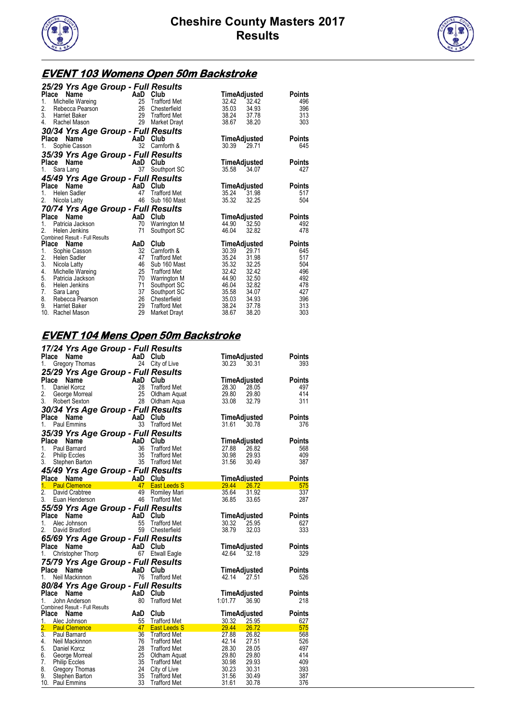



## **EVENT 103 Womens Open 50m Backstroke**

| 25/29 Yrs Age Group - Full Results         |          |                                     |                |                |               |
|--------------------------------------------|----------|-------------------------------------|----------------|----------------|---------------|
| Place<br>Name                              | AaD      | Club                                | TimeAdjusted   |                | Points        |
| 1.<br>Michelle Wareing                     | 25       | <b>Trafford Met</b>                 | 32.42          | 32.42          | 496           |
| 2.<br>Rebecca Pearson                      | 26       | Chesterfield                        | 35.03          | 34.93          | 396           |
| 3.<br><b>Harriet Baker</b>                 | 29       | <b>Trafford Met</b>                 | 38.24          | 37.78          | 313           |
| 4.<br>Rachel Mason                         | 29       | Market Drayt                        | 38.67          | 38.20          | 303           |
| 30/34 Yrs Age Group - Full Results         |          |                                     |                |                |               |
| <b>Place</b><br>Name                       | AaD      | Club                                | TimeAdjusted   |                | <b>Points</b> |
| Sophie Casson<br>1.                        | 32       | Carnforth &                         | 30.39          | 29.71          | 645           |
| 35/39 Yrs Age Group - Full Results         |          |                                     |                |                |               |
| <b>Place</b><br>Name                       | AaD      | Club                                | TimeAdjusted   |                | <b>Points</b> |
| Sara Lang<br>1.                            | 37       | Southport SC                        | 35.58          | 34.07          | 427           |
| 45/49 Yrs Age Group - Full Results         |          |                                     |                |                |               |
| Place<br>Name                              | AaD      | Club                                | TimeAdjusted   |                | <b>Points</b> |
| 1.<br><b>Helen Sadler</b>                  | 47       | <b>Trafford Met</b>                 | 35.24          | 31.98          | 517           |
| 2.<br>Nicola Latty                         | 46       | Sub 160 Mast                        | 35.32          | 32.25          | 504           |
| 70/74 Yrs Age Group - Full Results         |          |                                     |                |                |               |
| <b>Name</b><br>Place                       | AaD      | Club                                | TimeAdjusted   |                | <b>Points</b> |
| 1.<br>Patricia Jackson                     | 70       | Warrington M                        | 44.90          | 32.50          | 492           |
| 2.<br>Helen Jenkins                        | 71       | Southport SC                        | 46.04          | 32.82          | 478           |
| Combined Result - Full Results             |          |                                     |                |                |               |
| Place<br>Name                              | AaD      | Club                                | TimeAdjusted   |                | <b>Points</b> |
| 1.<br>Sophie Casson                        | 32       | Carnforth &                         | 30.39          | 29.71          | 645           |
| 2.<br><b>Helen Sadler</b><br>3.            | 47<br>46 | <b>Trafford Met</b>                 | 35.24<br>35.32 | 31.98<br>32.25 | 517           |
| Nicola Latty<br>4.                         | 25       | Sub 160 Mast<br><b>Trafford Met</b> | 32.42          | 32.42          | 504<br>496    |
| Michelle Wareing<br>5.<br>Patricia Jackson | 70       |                                     | 44.90          | 32.50          | 492           |
| 6.<br>Helen Jenkins                        | 71       | <b>Warrington M</b><br>Southport SC | 46.04          | 32.82          | 478           |
| 7.<br>Sara Lang                            | 37       | Southport SC                        | 35.58          | 34.07          | 427           |
| 8.<br>Rebecca Pearson                      | 26       | Chesterfield                        | 35.03          | 34.93          | 396           |
| 9.<br><b>Harriet Baker</b>                 | 29       | <b>Trafford Met</b>                 | 38.24          | 37.78          | 313           |
|                                            |          |                                     |                |                |               |
| 10. Rachel Mason                           | 29       | Market Drayt                        | 38.67          | 38.20          | 303           |

## **EVENT 104 Mens Open 50m Backstroke**

|                 |                                  | 17/24 Yrs Age Group - Full Results |          |                                     |                     |                |               |
|-----------------|----------------------------------|------------------------------------|----------|-------------------------------------|---------------------|----------------|---------------|
| Place           | Name                             | AaD                                |          | Club                                | TimeAdjusted        |                | Points        |
| 1.              | <b>Gregory Thomas</b>            |                                    |          | 24 City of Live                     | 30.23               | 30.31          | 393           |
|                 |                                  | 25/29 Yrs Age Group - Full Results |          |                                     |                     |                |               |
| Place           | Name                             | AaD Club<br>28 Traffor             |          |                                     | TimeAdjusted        |                | Points        |
| 1.              | Daniel Korcz                     |                                    |          | <b>Trafford Met</b>                 | 28.30               | 28.05          | 497           |
| 2.              | George Morreal                   |                                    |          | Oldham Aquat                        | 29.80               | 29.80          | 414           |
| 3.              | Robert Sexton                    |                                    |          | 28 Oldham Aqua                      | 33.08               | 32.79          | 311           |
|                 |                                  | 30/34 Yrs Age Group - Full Results |          |                                     |                     |                |               |
| Place Name      |                                  |                                    |          | AaD Club                            | TimeAdjusted        |                | Points        |
| 1.              | Paul Emmins                      |                                    |          | 33 Trafford Met                     | 31.61               | 30.78          | 376           |
|                 |                                  | 35/39 Yrs Age Group - Full Results |          |                                     |                     |                |               |
| Place           | Name                             | AaD                                |          | Club                                | TimeAdjusted        |                | <b>Points</b> |
| 1.              | Paul Barnard                     |                                    | 36       | <b>Trafford Met</b>                 | 27.88               | 26.82          | 568           |
| 2.              | <b>Philip Eccles</b>             |                                    | 35       | Trafford Met                        | 30.98               | 29.93          | 409           |
| 3.              | Stephen Barton                   |                                    |          | 35 Trafford Met                     | 31.56               | 30.49          | 387           |
|                 |                                  | 45/49 Yrs Age Group - Full Results |          |                                     |                     |                |               |
| Place Name      |                                  | AaD Club                           |          |                                     | <b>TimeAdjusted</b> |                | <b>Points</b> |
| 1.              | <b>Paul Clemence</b>             |                                    |          | 47 East Leeds S                     | 29.44               | 26.72          | 575           |
| 2.              | David Crabtree                   |                                    | 49       | Romiley Mari                        | 35.64               | 31.92          | 337           |
| 3.              | Euan Henderson                   |                                    |          | 46 Trafford Met                     | 36.85               | 33.65          | 287           |
|                 |                                  | 55/59 Yrs Age Group - Full Results |          |                                     |                     |                |               |
| Place           | Name                             | AaD                                |          | Club                                | <b>TimeAdjusted</b> |                | <b>Points</b> |
| 1.              | Alec Johnson                     |                                    |          | <b>Trafford Met</b>                 | 30.32               | 25.95          | 627           |
| 2.              | David Bradford                   |                                    | 59       | Chesterfield                        | 38.79               | 32.03          | 333           |
|                 |                                  | 65/69 Yrs Age Group - Full Results |          |                                     |                     |                |               |
| Place Name      |                                  | AaD Club                           |          |                                     | TimeAdjusted        |                | <b>Points</b> |
| 1.              | Christopher Thorp                |                                    | 67       | <b>Etwall Eagle</b>                 | 42.64               | 32.18          | 329           |
|                 |                                  | 75/79 Yrs Age Group - Full Results |          |                                     |                     |                |               |
| Place Name      |                                  |                                    |          | AaD Club                            | <b>TimeAdjusted</b> |                | <b>Points</b> |
| 1.              | Neil Mackinnon                   |                                    |          | 76 Trafford Met                     | 42.14               | 27.51          | 526           |
|                 |                                  | 80/84 Yrs Age Group - Full Results |          |                                     |                     |                |               |
| Place           | Name                             | <b>Example 2</b>                   |          | Club                                | TimeAdjusted        |                | <b>Points</b> |
| 1.              | John Anderson                    |                                    | 80       | <b>Trafford Met</b>                 | 1:01.77             | 36.90          | 218           |
|                 | Combined Result - Full Results   |                                    |          |                                     |                     |                |               |
| Place           | Name                             | AaD                                |          | Club                                | TimeAdjusted        |                | Points        |
| 1.              | Alec Johnson                     |                                    | 55       | <b>Trafford Met</b>                 | 30.32               | 25.95          | 627           |
| 2.              | <b>Paul Clemence</b>             |                                    | 47       | <b>East Leeds S</b>                 | 29.44               | 26.72          | 575           |
| 3.              | Paul Barnard                     |                                    | 36       | <b>Trafford Met</b>                 | 27.88               | 26.82          | 568           |
| 4.              | Neil Mackinnon                   |                                    | 76       | Trafford Met                        | 42.14               | 27.51          | 526           |
| 5.              | Daniel Korcz                     |                                    | 28       | <b>Trafford Met</b>                 | 28.30               | 28.05          | 497           |
| 6.              | George Morreal                   |                                    | 25       | Oldham Aquat                        | 29.80               | 29.80          | 414           |
| 7.<br>8.        | <b>Philip Eccles</b>             |                                    | 35<br>24 | <b>Trafford Met</b>                 | 30.98               | 29.93          | 409<br>393    |
| 9.              | Gregory Thomas<br>Stephen Barton |                                    | 35       | City of Live<br><b>Trafford Met</b> | 30.23<br>31.56      | 30.31<br>30.49 | 387           |
| 10. Paul Emmins |                                  |                                    | 33       | <b>Trafford Met</b>                 | 31.61               | 30.78          | 376           |
|                 |                                  |                                    |          |                                     |                     |                |               |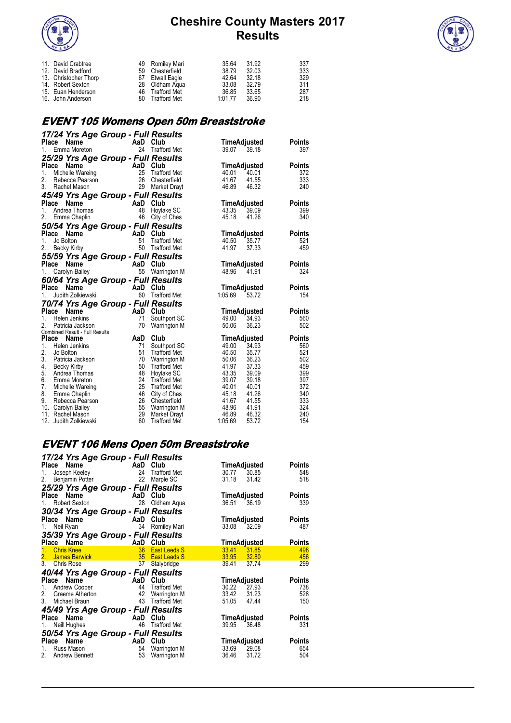



| 11. David Crabtree    | 49 Romiley Mari | 35.64   | 31.92 | 337 |
|-----------------------|-----------------|---------|-------|-----|
| 12. David Bradford    | 59 Chesterfield | 38.79   | 32.03 | 333 |
| 13. Christopher Thorp | 67 Etwall Eagle | 42.64   | 32.18 | 329 |
| 14. Robert Sexton     | 28 Oldham Agua  | 33.08   | 32.79 | 311 |
| 15. Euan Henderson    | 46 Trafford Met | 36.85   | 33.65 | 287 |
| 16. John Anderson     | 80 Trafford Met | 1:01.77 | 36.90 | 218 |

## **EVENT 105 Womens Open 50m Breaststroke**

| 17/24 Yrs Age Group - Full Results          |            |                                     |                |                       |               |
|---------------------------------------------|------------|-------------------------------------|----------------|-----------------------|---------------|
| Name<br>Place                               |            | AaD Club                            |                | TimeAdjusted          | <b>Points</b> |
| Emma Moreton<br>1.                          |            | 24 Trafford Met                     | 39.07          | 39.18                 | 397           |
| 25/29 Yrs Age Group - Full Results          |            |                                     |                |                       |               |
| Place<br>Name                               | AaD        | Club                                |                | TimeAdjusted          | <b>Points</b> |
| 1.<br>Michelle Wareing                      | 25         | <b>Trafford Met</b>                 | 40.01          | 40.01                 | 372           |
| 2.<br>Rebecca Pearson                       | 26         | Chesterfield                        | 41.67          | 41.55                 | 333           |
| 3.<br>Rachel Mason                          | 29         | Market Drayt                        | 46.89          | 46.32                 | 240           |
|                                             |            |                                     |                |                       |               |
| 45/49 Yrs Age Group - Full Results<br>Place | AaD        | Club                                |                |                       | <b>Points</b> |
| Name<br>1.<br>Andrea Thomas                 | 48         |                                     | 43.35          | TimeAdjusted<br>39.09 |               |
| 2.                                          | 46         | Hoylake SC<br>City of Ches          | 45.18          | 41.26                 | 399<br>340    |
| Emma Chaplin                                |            |                                     |                |                       |               |
| 50/54 Yrs Age Group - Full Results          |            |                                     |                |                       |               |
| Place<br>Name                               | AaD        | Club                                |                | TimeAdjusted          | <b>Points</b> |
| 1.<br>Jo Bolton                             | 51         | <b>Trafford Met</b>                 | 40.50          | 35.77                 | 521           |
| 2.<br>Becky Kirby                           | 50         | Trafford Met                        | 41.97          | 37.33                 | 459           |
| 55/59 Yrs Age Group - Full Results          |            |                                     |                |                       |               |
| Place<br>Name                               | <b>AaD</b> | Club                                |                | TimeAdjusted          | <b>Points</b> |
| 1.<br>Carolyn Bailey                        |            | 55 Warrington M                     | 48.96          | 41.91                 | 324           |
| 60/64 Yrs Age Group - Full Results          |            |                                     |                |                       |               |
| Place<br>Name                               | AaD        | Club                                |                | TimeAdjusted          | <b>Points</b> |
| 1.<br>Judith Zolkiewski                     | 60         | <b>Trafford Met</b>                 | 1:05.69        | 53.72                 | 154           |
| 70/74 Yrs Age Group - Full Results          |            |                                     |                |                       |               |
| Place<br>Name                               | AaD        | Club                                |                | TimeAdjusted          | <b>Points</b> |
| 1.<br>Helen Jenkins                         | 71         | Southport SC                        | 49.00          | 34.93                 | 560           |
| 2.<br>Patricia Jackson                      | 70         | Warrington M                        | 50.06          | 36.23                 | 502           |
| Combined Result - Full Results              |            |                                     |                |                       |               |
| Place<br>Name                               | AaD        | Club                                |                | TimeAdjusted          | <b>Points</b> |
| 1.<br>Helen Jenkins                         | 71         | Southport SC                        | 49.00          | 34.93                 | 560           |
| 2.<br>Jo Bolton                             | 51         | <b>Trafford Met</b>                 | 40.50          | 35.77                 | 521           |
| 3.<br>Patricia Jackson                      | 70         | Warrington M                        | 50.06          | 36.23                 | 502           |
| 4.<br>Becky Kirby                           | 50         | <b>Trafford Met</b>                 | 41.97          | 37.33                 | 459           |
| 5.<br>Andrea Thomas                         | 48         | Hoylake SC                          | 43.35          | 39.09                 | 399           |
| 6.<br>Emma Moreton                          | 24         | <b>Trafford Met</b>                 | 39.07          | 39.18                 | 397           |
| 7.<br>Michelle Wareing                      | 25         | <b>Trafford Met</b>                 | 40.01          | 40.01                 | 372           |
| 8.<br>Emma Chaplin                          | 46         | City of Ches                        | 45.18          | 41.26                 | 340           |
| 9.<br>Rebecca Pearson                       | 26         | Chesterfield                        | 41.67          | 41.55                 | 333           |
| 10. Carolyn Bailey<br>11. Rachel Mason      | 55<br>29   | Warrington M                        | 48.96<br>46.89 | 41.91<br>46.32        | 324<br>240    |
| 12.<br>Judith Zolkiewski                    | 60         | Market Drayt<br><b>Trafford Met</b> | 1:05.69        | 53.72                 | 154           |
|                                             |            |                                     |                |                       |               |

# **EVENT 106 Mens Open 50m Breaststroke**

|                                                | 17/24 Yrs Age Group - Full Results |                     |               |
|------------------------------------------------|------------------------------------|---------------------|---------------|
| <b>Place</b><br>Name                           | AaD Club                           | TimeAdjusted        | <b>Points</b> |
| Joseph Keeley<br>1.                            | 24<br><b>Trafford Met</b>          | 30.77<br>30.85      | 548           |
| 2.<br>Benjamin Potter                          | 22<br>Marple SC                    | 31.18<br>31.42      | 518           |
|                                                | 25/29 Yrs Age Group - Full Results |                     |               |
| Name<br>Place                                  | AaD<br>Club                        | TimeAdjusted        | <b>Points</b> |
| Robert Sexton<br>1.                            | 28<br>Oldham Aqua                  | 36.51<br>36.19      | 339           |
|                                                | 30/34 Yrs Age Group - Full Results |                     |               |
| Place<br>Name                                  | AaD<br>Club                        | TimeAdjusted        | <b>Points</b> |
| Neil Ryan<br>1.                                | 34<br>Romiley Mari                 | 33.08<br>32.09      | 487           |
|                                                | 35/39 Yrs Age Group - Full Results |                     |               |
|                                                | AaD<br>Club                        |                     |               |
| Name<br>Place                                  | 38<br><b>East Leeds S</b>          | <u>TimeAdjusted</u> | <b>Points</b> |
| <b>Chris Knee</b><br>$1 -$                     |                                    | 33.41<br>31.85      | 498           |
| 2.<br><b>James Barwick</b><br>$\overline{3}$ . | 35<br><b>East Leeds S</b>          | 33.95 32.80         | 456           |
| <b>Chris Rose</b>                              | 37<br>Stalybridge                  | 39.41<br>37.74      | 299           |
|                                                | 40/44 Yrs Age Group - Full Results |                     |               |
| Name<br>Place                                  | Club<br><b>Example 2</b>           | TimeAdjusted        | <b>Points</b> |
| 1.<br>Andrew Cooper                            | <b>Trafford Met</b><br>44          | 30.22 27.93         | 738           |
| 2.<br>Graeme Atherton                          | 42<br><b>Warrington M</b>          | 33.42<br>31.23      | 528           |
| 3.<br>Michael Braun                            | 43<br><b>Trafford Met</b>          | 51.05<br>47.44      | 150           |
|                                                | 45/49 Yrs Age Group - Full Results |                     |               |
| Place<br>Name                                  | AaD<br>Club                        | TimeAdjusted        | <b>Points</b> |
| Neill Hughes<br>1.                             | 46<br><b>Trafford Met</b>          | 39.95<br>36.48      | 331           |
|                                                | 50/54 Yrs Age Group - Full Results |                     |               |
| Name<br>Place                                  | AaD<br>Club                        | TimeAdjusted        | <b>Points</b> |
| Russ Mason<br>1.                               | Warrington M<br>54                 | 33.69<br>29.08      | 654           |
| 2.<br>Andrew Bennett                           | 53<br>Warrington M                 | 36.46<br>31.72      | 504           |
|                                                |                                    |                     |               |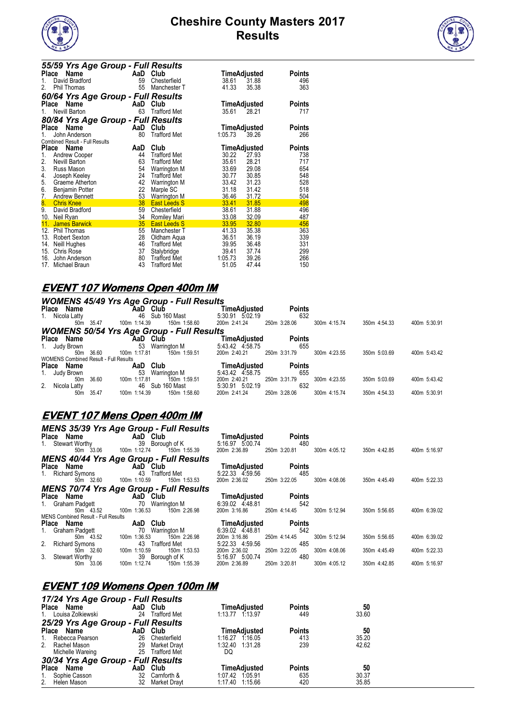



| 55/59 Yrs Age Group - Full Results    |     |                     |                               |
|---------------------------------------|-----|---------------------|-------------------------------|
| Name<br>Place                         | AaD | Club                | TimeAdjusted<br>Points        |
| David Bradford<br>1.                  | 59  | Chesterfield        | 38.61<br>31.88<br>496         |
| 2.<br><b>Phil Thomas</b>              | 55  | Manchester T        | 363<br>41.33<br>35.38         |
| 60/64 Yrs Age Group - Full Results    |     |                     |                               |
| Name<br><b>Place</b>                  | AaD | Club                | TimeAdjusted<br>Points        |
| Nevill Barton<br>1.                   | 63  | <b>Trafford Met</b> | 35.61<br>28.21<br>717         |
| 80/84 Yrs Age Group - Full Results    |     |                     |                               |
| Name<br><b>Place</b>                  | AaD | Club                | TimeAdjusted<br>Points        |
| John Anderson                         | 80  | <b>Trafford Met</b> | 266<br>1:05.73<br>39.26       |
| <b>Combined Result - Full Results</b> |     |                     |                               |
| Place<br>Name                         | AaD | Club                | TimeAdjusted<br><b>Points</b> |
| 1.<br>Andrew Cooper                   | 44  | <b>Trafford Met</b> | 30.22<br>27.93<br>738         |
| 2.<br>Nevill Barton                   | 63  | <b>Trafford Met</b> | 35.61<br>28.21<br>717         |
| 3.<br>Russ Mason                      | 54  | Warrington M        | 654<br>33.69<br>29.08         |
| 4.<br>Joseph Keeley                   | 24  | <b>Trafford Met</b> | 30.77<br>30.85<br>548         |
| 5.<br>Graeme Atherton                 | 42  | Warrington M        | 33.42<br>31.23<br>528         |
| 6.<br>Benjamin Potter                 | 22  | Marple SC           | 31.42<br>518<br>31.18         |
| 7.<br><b>Andrew Bennett</b>           | 53  | <b>Warrington M</b> | 36.46<br>31.72<br>504         |
| 8.<br><b>Chris Knee</b>               | 38  | <b>East Leeds S</b> | 31.85<br>498<br>33.41         |
| 9.<br>David Bradford                  | 59  | Chesterfield        | 38.61<br>31.88<br>496         |
| 10.<br>Neil Ryan                      | 34  | <b>Romiley Mari</b> | 32.09<br>487<br>33.08         |
| 11.<br><b>James Barwick</b>           | 35  | East Leeds S        | 456<br>33.95<br>32.80         |
| 12.<br>Phil Thomas                    | 55  | Manchester T        | 35.38<br>363<br>41.33         |
| 13.<br>Robert Sexton                  | 28  | Oldham Aqua         | 36.51<br>36.19<br>339         |
| Neill Hughes<br>14.                   | 46  | <b>Trafford Met</b> | 39.95<br>36.48<br>331         |
| 15.<br>Chris Rose                     | 37  | Stalybridge         | 299<br>39.41<br>37.74         |
| 16.<br>John Anderson                  | 80  | <b>Trafford Met</b> | 266<br>1:05.73<br>39.26       |
| 17.<br>Michael Braun                  | 43  | <b>Trafford Met</b> | 47.44<br>150<br>51.05         |

#### **EVENT 107 Womens Open 400m IM**

| <b>WOMENS 45/49 Yrs Age Group - Full Results</b> |           |              |                                                  |                     |               |              |              |              |
|--------------------------------------------------|-----------|--------------|--------------------------------------------------|---------------------|---------------|--------------|--------------|--------------|
| Place Name                                       |           | AaD Club     |                                                  | TimeAdiusted        | <b>Points</b> |              |              |              |
| 1. Nicola Latty                                  |           | 46           | Sub 160 Mast                                     | 5:30.91 5:02.19     | 632           |              |              |              |
| 50m                                              | 35.47     | 100m 1:14.39 | 150m 1:58.60                                     | 200m 2:41.24        | 250m 3:28.06  | 300m 4:15.74 | 350m 4:54.33 | 400m 5:30.91 |
|                                                  |           |              | <b>WOMENS 50/54 Yrs Age Group - Full Results</b> |                     |               |              |              |              |
| Place Name                                       |           | AaD Club     |                                                  | TimeAdiusted        | <b>Points</b> |              |              |              |
| 1. Judy Brown                                    |           | 53           | Warrington M                                     | 5:43.42 4 58.75     | 655           |              |              |              |
|                                                  | 50m 36.60 | 100m 1:17.81 | 150m 1:59.51                                     | 200m 2:40.21        | 250m 3:31.79  | 300m 4:23.55 | 350m 5:03.69 | 400m 5:43.42 |
| <b>WOMENS Combined Result - Full Results</b>     |           |              |                                                  |                     |               |              |              |              |
| Place Name                                       |           | AaD          | Club                                             | <b>TimeAdiusted</b> | <b>Points</b> |              |              |              |
| 1. Judy Brown                                    |           | 53           | Warrington M                                     | 5:43.42 4.58.75     | 655           |              |              |              |
| 50 <sub>m</sub>                                  | 36.60     | 100m 1:17.81 | 150m 1:59.51                                     | 200m 2:40.21        | 250m 3:31.79  | 300m 4:23.55 | 350m 5:03.69 | 400m 5:43.42 |
| 2. Nicola Latty                                  |           |              | 46 Sub 160 Mast                                  | 5:30.91 5:02.19     | 632           |              |              |              |
| 50m                                              | 35.47     | 100m 1:14.39 | 150m 1:58.60                                     | 200m 2:41.24        | 250m 3:28.06  | 300m 4:15.74 | 350m 4:54.33 | 400m 5:30.91 |

#### **EVENT 107 Mens Open 400m IM**

| <b>Place</b><br>Name<br>1. Stewart Worthy<br>50m 33.06 | <b>MENS 35/39 Yrs Age Group - Full Results</b><br>AaD Club<br>39 Borough of K<br>100m 1:12.74<br>150m 1:55.39 | TimeAdjusted<br>5:16.97 5:00.74<br>200m 2:36.89 | <b>Points</b><br>480<br>250m 3:20.81 | 300m 4:05.12 | 350m 4:42.85 | 400m 5:16.97 |
|--------------------------------------------------------|---------------------------------------------------------------------------------------------------------------|-------------------------------------------------|--------------------------------------|--------------|--------------|--------------|
|                                                        | <b>MENS 40/44 Yrs Age Group - Full Results</b>                                                                |                                                 |                                      |              |              |              |
| Place Name                                             | <b>AaD</b> Club                                                                                               | <b>TimeAdjusted</b>                             | <b>Points</b>                        |              |              |              |
| 1. Richard Symons                                      | 43<br>Trafford Met                                                                                            | 5:22.33 4.59.56                                 | 485                                  |              |              |              |
| 50m 32.60                                              | 100m 1:10.59<br>150m 1:53.53                                                                                  | 200m 2:36.02                                    | 250m 3:22.05                         | 300m 4:08.06 | 350m 4:45.49 | 400m 5:22.33 |
|                                                        | <b>MENS 70/74 Yrs Age Group - Full Results</b>                                                                |                                                 |                                      |              |              |              |
| Place Name                                             | AaD Club                                                                                                      | TimeAdjusted                                    | <b>Points</b>                        |              |              |              |
| 1. Graham Padgett                                      | 70<br>Warrington M                                                                                            | 6:39.02 4:48.81                                 | 542                                  |              |              |              |
| 50m 43.52                                              | 100m 1:36.53<br>150m 2:26.98                                                                                  | 200m 3:16.86                                    | 250m 4:14.45                         | 300m 5:12.94 | 350m 5:56.65 | 400m 6:39.02 |
| MENS Combined Result - Full Results                    |                                                                                                               |                                                 |                                      |              |              |              |
| Place Name                                             | AaD Club                                                                                                      | TimeAdjusted                                    | <b>Points</b>                        |              |              |              |
| 1. Graham Padgett                                      | 70<br>Warrington M                                                                                            | 6:39.02 4:48.81                                 | 542                                  |              |              |              |
| 50m 43.52                                              | 150m 2:26.98<br>1:36.53<br>100 <sub>m</sub>                                                                   | 200m 3:16.86                                    | 250m 4:14.45                         | 300m 5:12.94 | 350m 5:56.65 | 400m 6:39.02 |
| 2. Richard Symons                                      | 43<br><b>Trafford Met</b>                                                                                     | 5:22.33 4:59.56                                 | 485                                  |              |              |              |
| 50m 32.60                                              | 100m 1:10.59<br>150m 1:53.53                                                                                  | 200m 2:36.02                                    | 250m 3:22.05                         | 300m 4:08.06 | 350m 4:45.49 | 400m 5:22.33 |
| 3. Stewart Worthy<br>33.06                             | 39 Borough of K<br>100m 1:12.74                                                                               | 5:16.97 5:00.74<br>200m 2:36.89                 | 480<br>250m 3:20.81                  | 300m 4:05.12 |              | 400m 5:16.97 |
| 50m                                                    | 150m 1:55.39                                                                                                  |                                                 |                                      |              | 350m 4:42.85 |              |

## **EVENT 109 Womens Open 100m IM**

| 17/24 Yrs Age Group - Full Results |          |                 |                     |               |       |
|------------------------------------|----------|-----------------|---------------------|---------------|-------|
| Place Name                         | AaD Club |                 | <b>TimeAdjusted</b> | <b>Points</b> | 50    |
| 1. Louisa Zolkiewski               | 24       | Trafford Met    | 1:13.77 1.13.97     | 449           | 33.60 |
| 25/29 Yrs Age Group - Full Results |          |                 |                     |               |       |
| Place Name                         | AaD Club |                 | <b>TimeAdjusted</b> | <b>Points</b> | 50    |
| Rebecca Pearson<br>1.              | 26       | Chesterfield    | 1:16.27 1.16.05     | 413           | 35.20 |
| 2. Rachel Mason                    |          | 29 Market Drayt | 1:32.40 1:31.28     | 239           | 42.62 |
| Michelle Wareing                   |          | 25 Trafford Met | DQ                  |               |       |
| 30/34 Yrs Age Group - Full Results |          |                 |                     |               |       |
| Place Name                         | AaD Club |                 | <b>TimeAdjusted</b> | <b>Points</b> | 50    |
| 1. Sophie Casson                   |          | 32 Carnforth &  | 1:07.42 1:05.91     | 635           | 30.37 |
| 2. Helen Mason                     |          | 32 Market Dravt | 1:17.40 1:15.66     | 420           | 35.85 |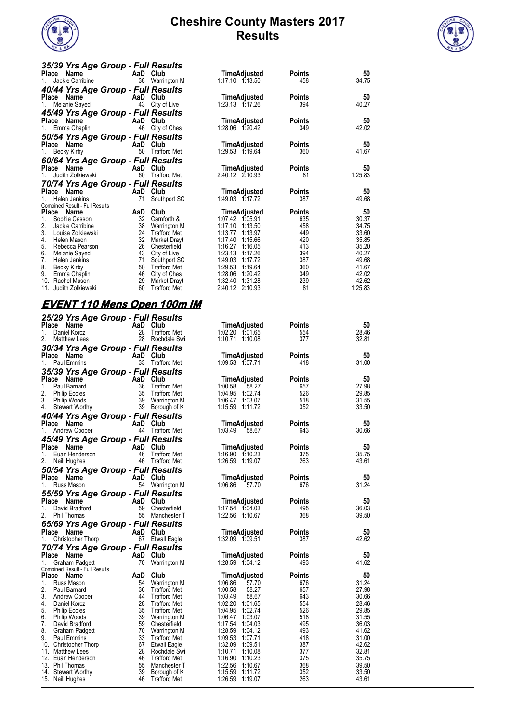



| 35/39 Yrs Age Group - Full Results              |          |                                     |                                          |               |                  |
|-------------------------------------------------|----------|-------------------------------------|------------------------------------------|---------------|------------------|
| Place<br>Name                                   | AaD      | Club                                | TimeAdjusted                             | <b>Points</b> | 50               |
| Jackie Carribine<br>1.                          |          | 38 Warrington M                     | 1:17.10 1:13.50                          | 458           | 34.75            |
| 40/44 Yrs Age Group - Full Results              |          |                                     |                                          |               |                  |
| Place Name                                      |          | AaD Club                            | TimeAdjusted                             | <b>Points</b> | 50               |
| Melanie Sayed                                   | 43       | City of Live                        | 1:23.13 1.17.26                          | 394           | 40.27            |
| 45/49 Yrs Age Group - Full Results              |          |                                     |                                          |               |                  |
| Name<br>Place                                   |          | AaD Club                            | TimeAdjusted                             | <b>Points</b> | 50               |
| Emma Chaplin<br>$1_{-}$                         | 46       | City of Ches                        | 1:28.06 1.20.42                          | 349           | 42.02            |
| 50/54 Yrs Age Group - Full Results              |          |                                     |                                          |               |                  |
| Place Name                                      |          | AaD Club                            | TimeAdjusted                             | <b>Points</b> | 50               |
| <b>Becky Kirby</b><br>1.                        | 50       | <b>Trafford Met</b>                 | 1:29.53 1.19.64                          | 360           | 41.67            |
| 60/64 Yrs Age Group - Full Results              |          |                                     |                                          |               |                  |
| Place Name                                      | AaD      | Club                                | TimeAdjusted                             | <b>Points</b> | 50               |
| Judith Zolkiewski                               | 60       | <b>Trafford Met</b>                 | 2:40.12 2:10.93                          | 81            | 1.25.83          |
| 70/74 Yrs Age Group - Full Results              |          |                                     |                                          |               |                  |
| Place Name                                      | AaD      | Club                                | TimeAdjusted                             | <b>Points</b> | 50               |
|                                                 |          |                                     |                                          |               |                  |
| Helen Jenkins                                   | 71       |                                     | 1:49.03 1.17.72                          | 387           |                  |
| Combined Result - Full Results                  |          | Southport SC                        |                                          |               | 49.68            |
| Place Name                                      | AaD      | Club                                | <b>TimeAdjusted</b>                      | <b>Points</b> | 50               |
| 1.<br>Sophie Casson                             | 32       | Carnforth &                         | 1:07.42<br>1 05 91                       | 635           | 30.37            |
| 2.<br>Jackie Carribine                          | 38       | Warrington M                        | 1:17.10<br>1:13.50                       | 458           | 34.75            |
| 3.<br>Louisa Zolkiewski                         | 24       | <b>Trafford Met</b>                 | 1:13.77<br>1:13.97                       | 449           | 33.60            |
| 4.<br>Helen Mason                               | 32       | Market Drayt                        | 1:17.40<br>1.15.66                       | 420           | 35.85            |
| 5.<br>Rebecca Pearson                           | 26       | Chesterfield                        | 1:16.27<br>1.16.05                       | 413           | 35.20            |
| 6.<br>Melanie Sayed                             |          | 43 City of Live                     | 1:23.13<br>1:17.26                       | 394           | 40.27            |
| 7.<br>Helen Jenkins                             | 71       | Southport SC                        | 1:49.03<br>1.17.72                       | 387           | 49.68            |
| 8.<br><b>Becky Kirby</b>                        | 50       | <b>Trafford Met</b>                 | 1:29.53<br>1.19.64                       | 360           | 41.67            |
| 9.<br>Emma Chaplin                              | 46       | City of Ches                        | 1:28.06<br>1.20.42                       | 349           | 42.02            |
| 10.<br>Rachel Mason<br>Judith Zolkiewski<br>11. | 29<br>60 | Market Drayt<br><b>Trafford Met</b> | 1:32.40<br>1:31.28<br>2:40.12<br>2:10.93 | 239<br>81     | 42.62<br>1.25.83 |

#### **EVENT 110 Mens Open 100m IM**

| 25/29 Yrs Age Group - Full Results<br>Place Name | AaD Club |                                        | TimeAdjusted                       | <b>Points</b> | 50             |
|--------------------------------------------------|----------|----------------------------------------|------------------------------------|---------------|----------------|
| Daniel Korcz<br>1.                               | 28       | Trafford Met                           | 1:02.20 1:01.65                    | 554           | 28.46          |
| 2.<br><b>Matthew Lees</b>                        |          | 28 Rochdale Swi                        | $1:10.71$ 1:10.08                  | 377           | 32.81          |
| 30/34 Yrs Age Group - Full Results               |          |                                        |                                    |               |                |
| Place Name                                       | AaD Club |                                        | <b>TimeAdjusted</b>                | <b>Points</b> | 50             |
| 1.<br>Paul Emmins                                |          | 33 Trafford Met                        | 1:09.53 1:07.71                    | 418           | 31.00          |
| 35/39 Yrs Age Group - Full Results               |          |                                        |                                    |               |                |
| Place Name                                       | AaD Club |                                        | <b>TimeAdjusted</b>                | <b>Points</b> | 50             |
| 1.<br>Paul Barnard                               | 36       | <b>Trafford Met</b>                    | 1:00.58<br>58.27                   | 657           | 27.98          |
| 2.<br><b>Philip Eccles</b>                       | 35       | Trafford Met                           | 1:04.95<br>1.02.74                 | 526           | 29.85          |
| 3.<br>Philip Woods                               |          | 39 Warrington M                        | 1:06.47 1:03.07                    | 518           | 31.55          |
| 4.<br>Stewart Worthy                             |          | 39 Borough of K                        | 1:15.59 1:11.72                    | 352           | 33.50          |
| 40/44 Yrs Age Group - Full Results               |          |                                        |                                    |               |                |
| Place Name                                       | AaD Club |                                        | <b>TimeAdjusted</b>                | <b>Points</b> | 50             |
| Andrew Cooper<br>1.                              |          | 44 Trafford Met                        | 1:03.49<br>58.67                   | 643           | 30.66          |
|                                                  |          |                                        |                                    |               |                |
| 45/49 Yrs Age Group - Full Results               |          |                                        |                                    |               |                |
| Place<br>Name                                    | AaD Club |                                        | <b>TimeAdjusted</b>                | <b>Points</b> | 50             |
| 1.<br>Euan Henderson                             | 46       | <b>Trafford Met</b><br>46 Trafford Met | 1:16.90 1:10.23<br>1:26.59 1:19.07 | 375<br>263    | 35.75<br>43.61 |
| 2.<br>Neill Hughes                               |          |                                        |                                    |               |                |
| 50/54 Yrs Age Group - Full Results               |          |                                        |                                    |               |                |
| Place Name                                       | AaD Club |                                        | <b>TimeAdjusted</b>                | <b>Points</b> | 50             |
| 1.<br>Russ Mason                                 |          | 54 Warrington M                        | 1:06.86<br>57.70                   | 676           | 31.24          |
| 55/59 Yrs Age Group - Full Results               |          |                                        |                                    |               |                |
| Place Name                                       | AaD Club |                                        | <b>TimeAdjusted</b>                | <b>Points</b> | 50             |
| David Bradford<br>1.                             | 59       | Chesterfield                           | 1:17.54 1:04.03                    | 495           | 36.03          |
| 2.<br>Phil Thomas                                |          | 55 Manchester T                        | 1:22.56 1:10.67                    | 368           | 39.50          |
| 65/69 Yrs Age Group - Full Results               |          |                                        |                                    |               |                |
| Place Name                                       | AaD Club |                                        | <b>TimeAdjusted</b>                | <b>Points</b> | 50             |
| Christopher Thorp<br>1.                          |          | 67 Etwall Eagle                        | 1:32.09 1:09.51                    | 387           | 42.62          |
| 70/74 Yrs Age Group - Full Results               |          |                                        |                                    |               |                |
| Place Name                                       | AaD Club |                                        | <b>TimeAdjusted</b>                | <b>Points</b> | 50             |
| Graham Padgett<br>1.                             | 70       | Warrington M                           | 1:28.59 1:04.12                    | 493           | 41.62          |
| Combined Result - Full Results                   |          |                                        |                                    |               |                |
| Place<br>Name                                    | AaD      | Club                                   | <b>TimeAdjusted</b>                | <b>Points</b> | 50             |
| 1.<br>Russ Mason                                 | 54       | Warrington M                           | 1:06.86<br>57.70                   | 676           | 31.24          |
| 2.<br>Paul Barnard                               | 36       | Trafford Met                           | 1:00.58<br>58.27                   | 657           | 27.98          |
| 3.<br>Andrew Cooper                              | 44       | <b>Trafford Met</b>                    | 1:03.49<br>58.67                   | 643           | 30.66          |
| 4.<br>Daniel Korcz                               | 28       | Trafford Met                           | 1:02.20 1:01.65                    | 554           | 28.46          |
| 5.<br>Philip Eccles                              | 35       | Trafford Met                           | 1:04 95 1:02.74                    | 526           | 29.85          |
| 6.<br>Philip Woods                               | 39<br>59 | Warrington M                           | 1:06 47 1:03.07                    | 518           | 31.55          |
| 7.<br>David Bradford<br>8.<br>Graham Padgett     | 70       | Chesterfield<br>Warrington M           | 1:17.54 1:04.03<br>1:28.59 1:04.12 | 495<br>493    | 36.03<br>41.62 |
| 9.<br><b>Paul Emmins</b>                         | 33       | <b>Trafford Met</b>                    | 1:09.53 1:07.71                    | 418           | 31.00          |
| 10. Christopher Thorp                            | 67       | Etwall Eagle                           | 1:32.09 1:09.51                    | 387           | 42.62          |
| 11.<br><b>Matthew Lees</b>                       | 28       | Rochdale Swi                           | 1:10.71<br>1.10.08                 | 377           | 32.81          |
| 12. Euan Henderson                               | 46       | <b>Trafford Met</b>                    | 1:16.90 1:10.23                    | 375           | 35.75          |
| 13. Phil Thomas                                  | 55       | Manchester T                           | 1:22.56<br>1:10.67                 | 368           | 39.50          |
| 14. Stewart Worthy                               | 39       | Borough of K                           | 1:15.59<br>1:11.72                 | 352           | 33.50          |
| 15. Neill Hughes                                 | 46       | <b>Trafford Met</b>                    | 1:26.59<br>1:19.07                 | 263           | 43.61          |
|                                                  |          |                                        |                                    |               |                |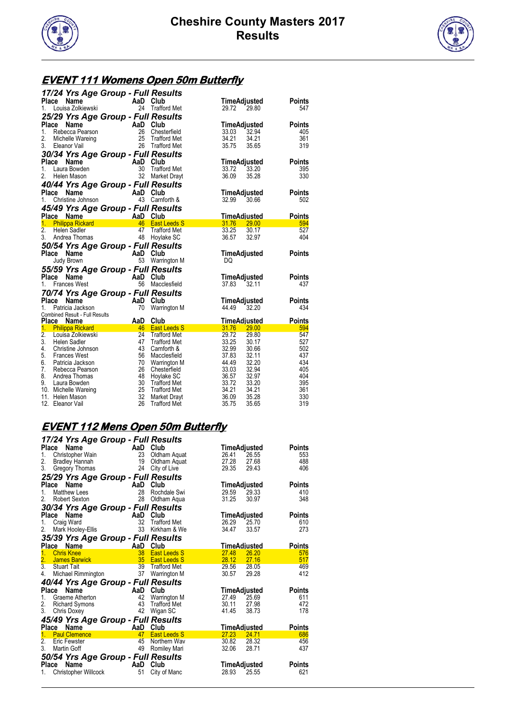



## **EVENT 111 Womens Open 50m Butterfly**

|                  |                                       | 17/24 Yrs Age Group - Full Results        |                                     |                                  |               |
|------------------|---------------------------------------|-------------------------------------------|-------------------------------------|----------------------------------|---------------|
| Place            | Name                                  | AaD Club                                  |                                     | TimeAdjusted                     | Points        |
| 1.               | Louisa Zolkiewski                     | 24                                        | <b>Trafford Met</b>                 | 29.72<br>29.80                   | 547           |
|                  |                                       | 25/29 Yrs Age Group - Full Results        |                                     |                                  |               |
| <b>Place</b>     | Name                                  | AaD                                       | Club                                | TimeAdjusted                     | Points        |
| 1.               | Rebecca Pearson                       | 26                                        | Chesterfield                        | 32.94<br>33.03                   | 405           |
| 2.               | Michelle Wareing                      | 25                                        | Trafford Met                        | 34.21<br>34.21                   | 361           |
| 3.               | Eleanor Vail                          | 26                                        | <b>Trafford Met</b>                 | 35.75<br>35.65                   | 319           |
|                  |                                       | 30/34 Yrs Age Group - Full Results        |                                     |                                  |               |
| <b>Place</b>     | Name                                  | AaD                                       | Club                                | TimeAdjusted                     | Points        |
| 1.               | Laura Bowden                          | 30                                        | <b>Trafford Met</b>                 | 33.20<br>33.72                   | 395           |
| 2.               | Helen Mason                           | 32                                        | Market Drayt                        | 36.09<br>35.28                   | 330           |
|                  |                                       | 40/44 Yrs Age Group - Full Results        |                                     |                                  |               |
| Place            | Name                                  | AaD                                       | Club                                | TimeAdjusted                     | <b>Points</b> |
| 1.               | Christine Johnson                     | 43                                        | Carnforth &                         | 32.99<br>30.66                   | 502           |
|                  |                                       | 45/49 Yrs Age Group - Full Results        |                                     |                                  |               |
|                  | Place Name                            | AaD                                       | Club                                | TimeAdjusted                     | Points        |
| 1.               | <b>Philippa Rickard</b>               | 46                                        | <b>East Leeds S</b>                 | 31.76<br>29.00                   | 594           |
| $\overline{2}$ . | Helen Sadler                          | 47                                        | <b>Trafford Met</b>                 | 33.25<br>30.17                   | 527           |
| 3.               | Andrea Thomas                         | 48                                        | Hoylake SC                          | 36.57<br>32.97                   | 404           |
|                  | 50/54 Yrs Age Group - Full Results    |                                           |                                     |                                  |               |
|                  |                                       |                                           |                                     |                                  |               |
| Place            | <b>Name</b>                           | AaD                                       | Club                                | TimeAdjusted                     | Points        |
|                  | Judy Brown                            | 53                                        | Warrington M                        | DQ                               |               |
|                  |                                       |                                           |                                     |                                  |               |
| Place            | Name                                  | 55/59 Yrs Age Group - Full Results<br>AaD | Club                                | TimeAdjusted                     | Points        |
| 1.               | <b>Frances West</b>                   | 56                                        | Macclesfield                        | 37.83<br>32.11                   | 437           |
|                  |                                       |                                           |                                     |                                  |               |
| Place            | Name                                  | 70/74 Yrs Age Group - Full Results        |                                     |                                  | Points        |
| 1.               | Patricia Jackson                      | AaD Club<br>70                            | Warrington M                        | TimeAdjusted<br>44.49<br>32.20   | 434           |
|                  | <b>Combined Result - Full Results</b> |                                           |                                     |                                  |               |
| <b>Place</b>     | Name                                  | AaD                                       | Club                                | <b>TimeAdjusted</b>              | Points        |
| 1.               | <b>Philippa Rickard</b>               | 46                                        | <b>East Leeds S</b>                 | 31.76<br>29.00                   | 594           |
| 2.               | Louisa Zolkiewski                     | 24                                        | <b>Trafford Met</b>                 | 29.72<br>29.80                   | 547           |
| 3.               | <b>Helen Sadler</b>                   | 47                                        | <b>Trafford Met</b>                 | 33.25<br>30.17                   | 527           |
| 4.               | Christine Johnson                     | 43                                        | Carnforth &                         | 32.99<br>30.66                   | 502           |
| 5.               | <b>Frances West</b>                   | 56                                        | Macclesfield                        | 37.83<br>32.11                   | 437           |
| 6.<br>7.         | Patricia Jackson<br>Rebecca Pearson   | 70<br>26                                  | Warrington M<br>Chesterfield        | 44.49<br>32.20<br>33.03<br>32.94 | 434<br>405    |
| 8.               | Andrea Thomas                         | 48                                        | Hoylake SC                          | 36.57<br>32.97                   | 404           |
| 9.               | Laura Bowden                          | 30                                        | <b>Trafford Met</b>                 | 33.72<br>33.20                   | 395           |
|                  | 10. Michelle Wareing                  | 25                                        | <b>Trafford Met</b>                 | 34.21<br>34.21                   | 361           |
|                  | 11. Helen Mason<br>12. Eleanor Vail   | 32<br>26                                  | Market Drayt<br><b>Trafford Met</b> | 36.09<br>35.28<br>35.75<br>35.65 | 330<br>319    |

## **EVENT 112 Mens Open 50m Butterfly**

| 17/24 Yrs Age Group - Full Results                                                                      |          |                     |                     |       |               |
|---------------------------------------------------------------------------------------------------------|----------|---------------------|---------------------|-------|---------------|
| <b>Ce Name</b><br>Christopher Wain<br>23 Oldham Aquat<br><b>Place</b>                                   |          |                     | TimeAdjusted        |       | <b>Points</b> |
| 1 <sup>1</sup>                                                                                          |          |                     | 26.41               | 26.55 | 553           |
| 2. Bradley Hannah<br>3. Gregory Thomas<br><b>Bradley Hannah</b>                                         |          | 19 Oldham Aquat     | 27.28               | 27.68 | 488           |
|                                                                                                         |          | 24 City of Live     | 29.35               | 29.43 | 406           |
| 25/29 Yrs Age Group - Full Results                                                                      |          |                     |                     |       |               |
| Place Name<br><b>Example 2 AaD</b> Club                                                                 |          |                     | TimeAdjusted        |       | Points        |
| <b>Matthew Lees</b><br>1.                                                                               | 28       | Rochdale Swi        | 29.59               | 29.33 | 410           |
| 2.<br>Robert Sexton                                                                                     | 28       | Oldham Agua         | 31.25               | 30.97 | 348           |
| 30/34 Yrs Age Group - Full Results                                                                      |          |                     |                     |       |               |
| $AaD$ <sub>32</sub><br>Place<br>Name                                                                    |          | Club                | TimeAdjusted        |       | <b>Points</b> |
| Craig Ward<br>1.                                                                                        |          | Trafford Met        | 26.29               | 25.70 | 610           |
| 2.<br>Mark Hooley-Ellis 33 Kirkham & We                                                                 |          |                     | 34.47               | 33.57 | 273           |
| 35/39 Yrs Age Group - Full Results                                                                      |          |                     |                     |       |               |
| Place Name<br>AaD Club<br>38 East L                                                                     |          |                     | <b>TimeAdjusted</b> |       | <b>Points</b> |
| 1.<br><b>Chris Knee</b>                                                                                 |          | <b>East Leeds S</b> | 27.48               | 26.20 | 576           |
| 2. James Ban<br>3. Stuart Tait<br><b>James Barwick Container and Strategies</b> 35                      |          | <b>East Leeds S</b> | 28.12 27.16         |       | 517           |
|                                                                                                         | 39       | Trafford Met        | 29.56 28.05         |       | 469           |
| Michael Rimmington<br>4.                                                                                | 37       | Warrington M        | 30.57               | 29.28 | 412           |
| 40/44 Yrs Age Group - Full Results                                                                      |          |                     |                     |       |               |
| Place Name<br><b>Ce Name Capital AaD Club</b><br>Graeme Atherton 42 Warrin<br>Richard Symons 43 Traffor |          |                     | <b>TimeAdjusted</b> |       | Points        |
| 1.                                                                                                      |          | Warrington M        | 27.49               | 25.69 | 611           |
| 2.                                                                                                      |          | Trafford Met        | 30.11 27.98         |       | 472           |
| 3.<br>Chris Doxey                                                                                       | 42       | Wigan SC            | 41.45               | 38.73 | 178           |
| 45/49 Yrs Age Group - Full Results                                                                      |          |                     |                     |       |               |
| Place<br>Name                                                                                           | AaD      | Club                | TimeAdjusted        |       | Points        |
| 1.<br><b>Paul Clemence</b>                                                                              | 47       | <b>East Leeds S</b> | 27.23               | 24.71 | 686           |
| 2.<br>Eric Fewster                                                                                      | 45       | Northern Way        | 30.82               | 28.32 | 456           |
| 3.<br>Martin Goff                                                                                       | 49       | Romiley Mari        | 32.06               | 28.71 | 437           |
| 50/54 Yrs Age Group - Full Results                                                                      |          |                     |                     |       |               |
| Place Name                                                                                              | AaD Club |                     | TimeAdjusted        |       | Points        |
| Christopher Willcock<br>1.                                                                              | 51       | City of Manc        | 28.93               | 25.55 | 621           |
|                                                                                                         |          |                     |                     |       |               |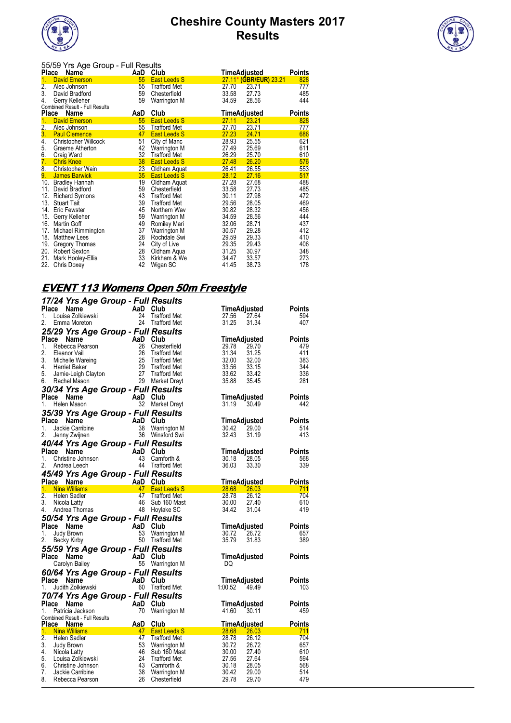



| 55/59 Yrs Age Group - Full Results |                                |     |                     |                     |                        |               |  |  |  |
|------------------------------------|--------------------------------|-----|---------------------|---------------------|------------------------|---------------|--|--|--|
| <b>Place</b>                       | Name                           | AaD | Club                | <u>TimeAdjusted</u> |                        | Points        |  |  |  |
| 1.                                 | <b>David Emerson</b>           | 55  | <b>East Leeds S</b> |                     | 27.11* (GBR/EUR) 23.21 | 828           |  |  |  |
| 2.                                 | Alec Johnson                   | 55  | <b>Trafford Met</b> | 27.70               | 23.71                  | 777           |  |  |  |
| 3.                                 | David Bradford                 | 59  | Chesterfield        | 33.58               | 27.73                  | 485           |  |  |  |
| 4.                                 | Gerry Kelleher                 | 59  | Warrington M        | 34.59               | 28.56                  | 444           |  |  |  |
|                                    | Combined Result - Full Results |     |                     |                     |                        |               |  |  |  |
|                                    | <b>Place</b><br>Name           | AaD | Club                | <u>TimeAdjusted</u> |                        | <b>Points</b> |  |  |  |
| 1.                                 | <b>David Emerson</b>           | 55  | <b>East Leeds S</b> | 27.11               | 23.21                  | 828           |  |  |  |
| 2.                                 | Alec Johnson                   | 55  | <b>Trafford Met</b> | 27.70               | 23.71                  | 777           |  |  |  |
| 3.                                 | <b>Paul Clemence</b>           | 47  | <b>East Leeds S</b> | 27.23               | 24.71                  | 686           |  |  |  |
| 4.                                 | Christopher Willcock           | 51  | City of Manc        | 28.93               | 25.55                  | 621           |  |  |  |
| 5.                                 | Graeme Atherton                | 42  | Warrington M        | 27.49               | 25.69                  | 611           |  |  |  |
| 6.                                 | <b>Craig Ward</b>              | 32  | <b>Trafford Met</b> | 26.29               | 25.70                  | 610           |  |  |  |
| 7.                                 | <b>Chris Knee</b>              | 38  | <b>East Leeds S</b> | 27.48               | 26.20                  | 576           |  |  |  |
| 8 <sub>1</sub>                     | <b>Christopher Wain</b>        | 23  | Oldham Aquat        | 26.41               | 26.55                  | 553           |  |  |  |
| 9.                                 | <b>James Barwick</b>           | 35  | <b>East Leeds S</b> | 28.12               | 27.16                  | 517           |  |  |  |
|                                    | 10. Bradley Hannah             | 19  | Oldham Aquat        | 27.28               | 27.68                  | 488           |  |  |  |
| 11.                                | David Bradford                 | 59  | Chesterfield        | 33.58               | 27.73                  | 485           |  |  |  |
| 12.                                | <b>Richard Symons</b>          | 43  | <b>Trafford Met</b> | 30.11               | 27.98                  | 472           |  |  |  |
| 13.                                | <b>Stuart Tait</b>             | 39  | <b>Trafford Met</b> | 29.56               | 28.05                  | 469           |  |  |  |
| 14.                                | Eric Fewster                   | 45  | Northern Wav        | 30.82               | 28.32                  | 456           |  |  |  |
| 15.                                | Gerry Kelleher                 | 59  | Warrington M        | 34.59               | 28.56                  | 444           |  |  |  |
| 16.                                | Martin Goff                    | 49  | Romiley Mari        | 32.06               | 28.71                  | 437           |  |  |  |
| 17.                                | Michael Rimmington             | 37  | Warrington M        | 30.57               | 29.28                  | 412           |  |  |  |
| 18.                                | <b>Matthew Lees</b>            | 28  | Rochdale Swi        | 29.59               | 29.33                  | 410           |  |  |  |
| 19.                                | Gregory Thomas                 | 24  | City of Live        | 29.35               | 29.43                  | 406           |  |  |  |
| 20.                                | Robert Sexton                  | 28  | Oldham Aqua         | 31.25               | 30.97                  | 348           |  |  |  |
| 21.                                | Mark Hooley-Ellis              | 33  | Kirkham & We        | 34.47               | 33.57                  | 273           |  |  |  |
| 22.                                | Chris Doxey                    | 42  | Wigan SC            | 41.45               | 38.73                  | 178           |  |  |  |

#### **EVENT 113 Womens Open 50m Freestyle**

|                                                                                                                                                                                                                                                      | 17/24 Yrs Age Group - Full Results                                 |                              |                       |                |               |
|------------------------------------------------------------------------------------------------------------------------------------------------------------------------------------------------------------------------------------------------------|--------------------------------------------------------------------|------------------------------|-----------------------|----------------|---------------|
| Place                                                                                                                                                                                                                                                | <b>Ce Name</b><br>Louisa Zolkiewski<br>Emma Merator (1994 - Traffo |                              | TimeAdjusted          |                | Points        |
| 1.                                                                                                                                                                                                                                                   |                                                                    | <b>Trafford Met</b>          | 27.56                 | 27.64          | 594           |
| 2.<br>Emma Moreton                                                                                                                                                                                                                                   |                                                                    | 24 Trafford Met              | 31.25                 | 31.34          | 407           |
| 25/29 Yrs Age Group - Full Results                                                                                                                                                                                                                   |                                                                    |                              |                       |                |               |
| 23/29 TTS Arge Stroup - Term Nessures<br>2. Eleanor Vail<br>2. Eleanor Vail<br>2. Eleanor Vail<br>3. Michelle Wareing<br>4. Harriet Baker<br>5. Jamie-Leigh Clayton<br>6. Rachel Mason<br>2. Trafford Met<br>6. Rachel Mason<br>2. Trafford Met<br>6 |                                                                    |                              | TimeAdjusted          |                | <b>Points</b> |
|                                                                                                                                                                                                                                                      |                                                                    |                              | 29.78                 | 29.70          | 479           |
|                                                                                                                                                                                                                                                      |                                                                    |                              | 31.34                 | 31.25          | 411           |
|                                                                                                                                                                                                                                                      |                                                                    |                              | 32.00                 | 32.00          | 383           |
|                                                                                                                                                                                                                                                      |                                                                    |                              | 33.56                 | 33.15          | 344           |
|                                                                                                                                                                                                                                                      |                                                                    |                              | 33.62                 | 33.42          | 336           |
|                                                                                                                                                                                                                                                      |                                                                    |                              | 35.88                 | 35.45          | 281           |
| 30/34 Yrs Age Group - Full Results                                                                                                                                                                                                                   |                                                                    |                              |                       |                |               |
| Place Name                                                                                                                                                                                                                                           | AaD Club                                                           |                              |                       | TimeAdjusted   | <b>Points</b> |
| 1.<br>Helen Mason                                                                                                                                                                                                                                    | 32                                                                 | Market Drayt                 | 31.19 30.49           |                | 442           |
| 35/39 Yrs Age Group - Full Results                                                                                                                                                                                                                   | $AB = AB$<br>AaD Club<br>38 Warrin                                 |                              |                       |                |               |
| Place Name                                                                                                                                                                                                                                           |                                                                    |                              |                       | TimeAdjusted   | <b>Points</b> |
| 1.<br>Jackie Carribine                                                                                                                                                                                                                               |                                                                    | 38 Warrington M              | 30.42                 | 29.00          | 514           |
| 2.<br>Jenny Zwijnen                                                                                                                                                                                                                                  |                                                                    | 36 Winsford Swi              | 32.43                 | 31.19          | 413           |
| 40/44 Yrs Age Group - Full Results                                                                                                                                                                                                                   |                                                                    |                              |                       |                |               |
| Place Name                                                                                                                                                                                                                                           | <b>Example 18</b><br>Christine Johnson<br>Andrea Leech 144         |                              |                       | TimeAdjusted   | <b>Points</b> |
| 1.                                                                                                                                                                                                                                                   |                                                                    | Carnforth &                  | 30.18                 | 28.05          | 568           |
| 2.                                                                                                                                                                                                                                                   |                                                                    | <b>Trafford Met</b>          | 36.03                 | 33.30          | 339           |
| 45/49 Yrs Age Group - Full Results                                                                                                                                                                                                                   |                                                                    |                              |                       |                |               |
| Place Name                                                                                                                                                                                                                                           | AaD Club<br>47 East L                                              |                              |                       | TimeAdjusted   | Points        |
| 1.<br><b>Nina Williams</b>                                                                                                                                                                                                                           |                                                                    |                              |                       |                |               |
|                                                                                                                                                                                                                                                      |                                                                    | 47 East Leeds S              | 28.68 26.03           |                | 711           |
| 2.<br>Helen Sadler                                                                                                                                                                                                                                   | 47                                                                 | <b>Trafford Met</b>          | 28.78                 | 26.12          | 704           |
| 3.<br>Nicola Latty                                                                                                                                                                                                                                   | 46                                                                 | Sub 160 Mast                 | 30.00                 | 27.40          | 610           |
| 4.<br>Andrea Thomas                                                                                                                                                                                                                                  |                                                                    | 48 Hoylake SC                | 34.42                 | 31.04          | 419           |
| 50/54 Yrs Age Group - Full Results                                                                                                                                                                                                                   |                                                                    |                              |                       |                |               |
| Place Name                                                                                                                                                                                                                                           |                                                                    |                              | TimeAdjusted          |                | Points        |
| 1.<br>Judy Brown                                                                                                                                                                                                                                     |                                                                    | Warrington M                 | 30.72                 | 26.72          | 657           |
| 2.<br>Becky Kirby                                                                                                                                                                                                                                    | AaD Club<br>53 Warrin                                              | 50 Trafford Met              | 35.79                 | 31.83          | 389           |
| 55/59 Yrs Age Group - Full Results                                                                                                                                                                                                                   |                                                                    |                              |                       |                |               |
| Place Name                                                                                                                                                                                                                                           |                                                                    |                              | TimeAdjusted          |                | <b>Points</b> |
| Carolyn Bailey                                                                                                                                                                                                                                       | AaD Club                                                           | 55 Warrington M              | DQ                    |                |               |
|                                                                                                                                                                                                                                                      |                                                                    |                              |                       |                |               |
| 60/64 Yrs Age Group - Full Results<br>Place Name                                                                                                                                                                                                     | AaD Club                                                           |                              | TimeAdjusted          |                | <b>Points</b> |
| Judith Zolkiewski<br>1.                                                                                                                                                                                                                              |                                                                    | 60 Trafford Met              | 1:00.52               | 49.49          | 103           |
|                                                                                                                                                                                                                                                      |                                                                    |                              |                       |                |               |
| 70/74 Yrs Age Group - Full Results<br>Place Name                                                                                                                                                                                                     |                                                                    |                              | TimeAdjusted          |                | <b>Points</b> |
| Patricia Jackson<br>1.                                                                                                                                                                                                                               |                                                                    | Warrington M                 | 41.60                 | 30.11          | 459           |
|                                                                                                                                                                                                                                                      | $AaD$ Club                                                         |                              |                       |                |               |
|                                                                                                                                                                                                                                                      |                                                                    |                              | <b>TimeAdjusted</b>   |                | <b>Points</b> |
| Combined Result - Full Results<br>Place Name <b>Aap Club</b><br>1.<br><b>Nina Williams</b>                                                                                                                                                           | <u>Az East Leeds S</u>                                             |                              | $\frac{28.68}{26.03}$ |                | 711           |
| 2.<br>Helen Sadler                                                                                                                                                                                                                                   | 47                                                                 | <b>Trafford Met</b>          | 28.78                 | 26.12          | 704           |
| 3.<br>Judy Brown                                                                                                                                                                                                                                     | 53                                                                 | Warrington M                 | 30.72                 | 26.72          | 657           |
| 4.<br>Nicola Latty                                                                                                                                                                                                                                   | 46                                                                 | Sub 160 Mast                 | 30.00                 | 27.40          | 610           |
| 5.<br>Louisa Zolkiewski                                                                                                                                                                                                                              | 24                                                                 | Trafford Met                 | 27.56                 | 27.64          | 594           |
| 6.<br>Christine Johnson                                                                                                                                                                                                                              | 43                                                                 | Carnforth &                  | 30.18                 | 28.05          | 568           |
| 7.<br>Jackie Carribine<br>8. Rebecca Pearson                                                                                                                                                                                                         | 38<br>26                                                           | Warrington M<br>Chesterfield | 30.42<br>29.78        | 29.00<br>29.70 | 514<br>479    |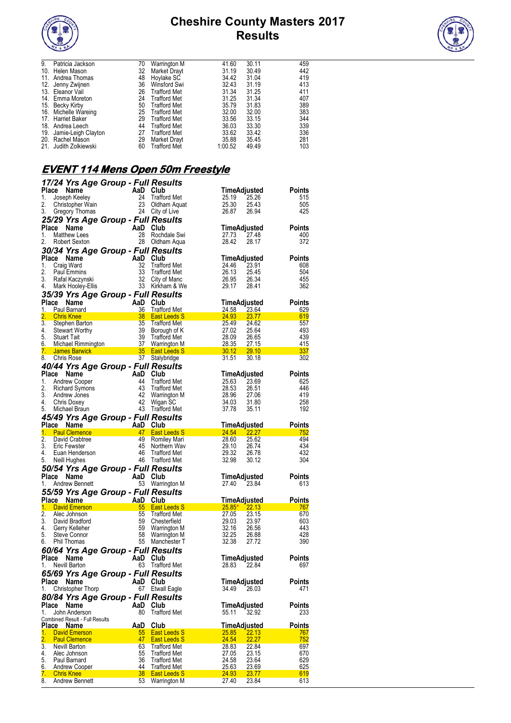



| 9.  | Patricia Jackson        | 70 | Warrington M        | 41.60   | 30.11 | 459 |
|-----|-------------------------|----|---------------------|---------|-------|-----|
| 10. | Helen Mason             | 32 | Market Drayt        | 31.19   | 30.49 | 442 |
| 11. | Andrea Thomas           | 48 | Hoylake SC          | 34.42   | 31.04 | 419 |
|     | 12. Jenny Zwijnen       | 36 | Winsford Swi        | 32.43   | 31.19 | 413 |
|     | 13. Eleanor Vail        | 26 | <b>Trafford Met</b> | 31.34   | 31.25 | 411 |
|     | 14. Emma Moreton        | 24 | <b>Trafford Met</b> | 31.25   | 31.34 | 407 |
|     | 15. Becky Kirby         | 50 | <b>Trafford Met</b> | 35.79   | 31.83 | 389 |
|     | 16. Michelle Wareing    | 25 | Trafford Met        | 32.00   | 32.00 | 383 |
|     | 17. Harriet Baker       | 29 | <b>Trafford Met</b> | 33.56   | 33.15 | 344 |
|     | 18. Andrea Leech        | 44 | <b>Trafford Met</b> | 36.03   | 33.30 | 339 |
|     | 19. Jamie-Leigh Clayton | 27 | <b>Trafford Met</b> | 33.62   | 33.42 | 336 |
|     | 20. Rachel Mason        | 29 | Market Drayt        | 35.88   | 35.45 | 281 |
|     | 21. Judith Zolkiewski   | 60 | <b>Trafford Met</b> | 1:00.52 | 49.49 | 103 |

## **EVENT 114 Mens Open 50m Freestyle**

|                                          |                                        | 17/24 Yrs Age Group - Full Results                                                                                                                                                                                                   |                                            |                                |                |               |
|------------------------------------------|----------------------------------------|--------------------------------------------------------------------------------------------------------------------------------------------------------------------------------------------------------------------------------------|--------------------------------------------|--------------------------------|----------------|---------------|
| Place                                    | Name                                   | AaD Club<br>24 Trafford Me<br>23 Oldham Aqu<br>24 City of Live                                                                                                                                                                       |                                            | TimeAdjusted                   |                | Points        |
| 1.                                       | Joseph Keeley                          |                                                                                                                                                                                                                                      | Trafford Met                               | 25.19                          | 25.26          | 515           |
| 2.                                       | Christopher Wain                       |                                                                                                                                                                                                                                      | 23 Oldham Aquat                            | 25.30                          | 25.43          | 505           |
| 3.                                       | Gregory Thomas                         |                                                                                                                                                                                                                                      |                                            | 26.87                          | 26.94          | 425           |
|                                          |                                        | 25/29 Yrs Age Group - Full Results                                                                                                                                                                                                   |                                            |                                |                |               |
|                                          | Place Name                             | AaD Club                                                                                                                                                                                                                             |                                            | TimeAdjusted                   |                | <b>Points</b> |
| 1.                                       | <b>Matthew Lees</b>                    | 28                                                                                                                                                                                                                                   | Rochdale Swi                               | 27.73                          | 27.48          | 400           |
| 2.                                       | Robert Sexton                          |                                                                                                                                                                                                                                      | 28 Oldham Aqua                             | 28.42                          | 28.17          | 372           |
|                                          |                                        | 30/34 Yrs Age Group - Full Results                                                                                                                                                                                                   |                                            |                                |                |               |
|                                          | Place Name                             | AaD Club                                                                                                                                                                                                                             |                                            | TimeAdjusted                   |                | <b>Points</b> |
| 1.                                       | Craig Ward                             | 32                                                                                                                                                                                                                                   | <b>Trafford Met</b>                        | 24.46                          | 23.91          | 608           |
| 2.                                       | <b>Paul Emmins</b>                     | 33                                                                                                                                                                                                                                   | <b>Trafford Met</b>                        | 26.13                          | 25.45          | 504           |
| 3.                                       | Rafal Kaczynski                        |                                                                                                                                                                                                                                      | 32 City of Manc                            | 26.95                          | 26.34          | 455           |
| 4.                                       | Mark Hooley-Ellis                      |                                                                                                                                                                                                                                      | 33 Kirkham & We                            | 29.17                          | 28.41          | 362           |
|                                          |                                        | 35/39 Yrs Age Group - Full Results                                                                                                                                                                                                   |                                            |                                |                |               |
|                                          | Place Name                             | AaD Club                                                                                                                                                                                                                             |                                            | TimeAdjusted                   |                | <b>Points</b> |
| 1.                                       | Paul Barnard                           | 36                                                                                                                                                                                                                                   | <b>Trafford Met</b>                        | 24.58                          | 23.64          | 629           |
| 2.                                       | <b>Chris Knee</b><br>3. Stephen Barton | $\frac{38}{35}$<br>38<br>39<br>39<br>39                                                                                                                                                                                              | <b>East Leeds S</b>                        | 24.93<br>$\frac{24.93}{25.49}$ | 23.77<br>24.62 | 619<br>557    |
|                                          | 4. Stewart Worthy                      | 39                                                                                                                                                                                                                                   | Trafford Met<br>Borough of K               | 27.02                          | 25.64          | 493           |
|                                          | 5. Stuart Tait                         |                                                                                                                                                                                                                                      | Trafford Met                               | 28.09                          | 26.65          | 439           |
|                                          |                                        |                                                                                                                                                                                                                                      |                                            | 28.09 26.65<br>28.35 27.15     |                | 415           |
|                                          |                                        | c. Column and the Column of the Column of the Column of the Column of the Column of the Column of the Column o<br>1. James Barwick Column of Column of The Column of the Column of the Column of the Column of the Column of the<br> | 30.12 29.10                                |                                |                | 337           |
| 8.                                       | <b>Chris Rose</b>                      |                                                                                                                                                                                                                                      | 37 Stalybridge                             | 31.51                          | 30.18          | 302           |
|                                          |                                        | 40/44 Yrs Age Group - Full Results                                                                                                                                                                                                   |                                            |                                |                |               |
|                                          | Place Name                             | AaD Club<br>44 Traffor<br>42 Traffor<br>42 Warrin<br>42 Wigan<br>43 Traffor                                                                                                                                                          |                                            | TimeAdjusted                   |                | <b>Points</b> |
| 1.                                       | Andrew Cooper                          |                                                                                                                                                                                                                                      | <b>Trafford Met</b>                        | 25.63                          | 23.69          | 625           |
| 2.                                       | <b>Richard Symons</b>                  |                                                                                                                                                                                                                                      | <b>Trafford Met</b>                        | 28.53                          | 26.51          | 446           |
| 3.                                       | Andrew Jones                           |                                                                                                                                                                                                                                      | Warrington M                               | 28.96                          | 27.06          | 419           |
| 4.                                       | Chris Doxey                            |                                                                                                                                                                                                                                      | Wigan SC                                   | 34.03                          | 31.80          | 258           |
| 5.                                       | Michael Braun                          |                                                                                                                                                                                                                                      | 43 Trafford Met                            | 37.78                          | 35.11          | 192           |
|                                          |                                        | 45/49 Yrs Age Group - Full Results                                                                                                                                                                                                   |                                            |                                |                |               |
|                                          | Place Name                             |                                                                                                                                                                                                                                      |                                            | <b>TimeAdjusted</b>            |                | <b>Points</b> |
|                                          |                                        |                                                                                                                                                                                                                                      |                                            |                                |                |               |
| 1.                                       | <b>Paul Clemence</b>                   |                                                                                                                                                                                                                                      | <b>East Leeds S</b>                        | 24.54                          |                | 752           |
| 2.                                       | David Crabtree                         |                                                                                                                                                                                                                                      | Romiley Mari                               | 28.60                          | 22.27<br>25.62 | 494           |
| 3.                                       | Eric Fewster                           | AaD Club<br>47 East L<br>49 Romile<br>45                                                                                                                                                                                             | Northern Wav                               | 29.10                          | 26.74          | 434           |
| 4.                                       | Euan Henderson                         | 46                                                                                                                                                                                                                                   | Trafford Met                               | 29.32                          | 26.78          | 432           |
| 5.                                       | Neill Hughes                           |                                                                                                                                                                                                                                      | 46 Trafford Met                            | 32.98                          | 30.12          | 304           |
|                                          |                                        | 50/54 Yrs Age Group - Full Results                                                                                                                                                                                                   |                                            |                                |                |               |
|                                          | Place Name                             | AaD Club                                                                                                                                                                                                                             |                                            | TimeAdjusted                   |                | <b>Points</b> |
| 1.                                       | Andrew Bennett                         |                                                                                                                                                                                                                                      | 53 Warrington M                            | 27.40                          | 23.84          | 613           |
|                                          |                                        | 55/59 Yrs Age Group - Full Results                                                                                                                                                                                                   |                                            |                                |                |               |
|                                          | Place Name                             |                                                                                                                                                                                                                                      |                                            | <b>TimeAdjusted</b>            |                | Points        |
| 1.                                       | <b>David Emerson</b>                   |                                                                                                                                                                                                                                      | <b>East Leeds S</b>                        | $25.85*$ 22.13                 |                | 767           |
| 2.                                       | Alec Johnson                           | AaD Club<br>55 East L<br>55                                                                                                                                                                                                          | <b>Trafford Met</b>                        | 27.05                          | 23.15          | 670           |
|                                          | 3. David Bradford                      | 59                                                                                                                                                                                                                                   | Chesterfield                               | 29.03                          | 23.97          | 603           |
|                                          | 4. Gerry Kelleher                      | 59                                                                                                                                                                                                                                   | Warrington M                               | 32.16                          | 26.56          | 443           |
| 5.                                       | Steve Connor                           | 58                                                                                                                                                                                                                                   | Warrington M                               | 32.25                          | 26.88          | 428           |
| 6.                                       | Phil Thomas                            |                                                                                                                                                                                                                                      | 55 Manchester T                            | 32.38                          | 27.72          | 390           |
|                                          |                                        | 60/64 Yrs Age Group - Full Results                                                                                                                                                                                                   |                                            |                                |                |               |
|                                          | Place Name                             | AaD                                                                                                                                                                                                                                  | Club                                       | <b>TimeAdjusted</b>            |                | <b>Points</b> |
|                                          | 1. Nevill Barton                       |                                                                                                                                                                                                                                      | 63 Trafford Met                            | 28.83                          | 22.84          | 697           |
|                                          |                                        | 65/69 Yrs Age Group - Full Results                                                                                                                                                                                                   |                                            |                                |                |               |
| Place                                    | Name                                   | AaD Club                                                                                                                                                                                                                             |                                            | TimeAdjusted                   |                | Points        |
| 1.                                       | Christopher Thorp                      | 67                                                                                                                                                                                                                                   | <b>Etwall Eagle</b>                        | 34.49                          | 26.03          | 471           |
|                                          |                                        | 80/84 Yrs Age Group - Full Results                                                                                                                                                                                                   |                                            |                                |                |               |
|                                          | Place Name                             | AaD Club                                                                                                                                                                                                                             |                                            | TimeAdjusted                   |                | Points        |
| 1.                                       | John Anderson                          | 80                                                                                                                                                                                                                                   | <b>Trafford Met</b>                        | 55.11                          | 32.92          | 233           |
|                                          | Combined Result - Full Results         |                                                                                                                                                                                                                                      |                                            |                                |                |               |
|                                          | Place Name                             | AaD                                                                                                                                                                                                                                  | Club                                       | TimeAdjusted                   |                | Points        |
|                                          | <b>David Emerson</b>                   | 55                                                                                                                                                                                                                                   | <b>East Leeds S</b>                        | 25.85                          | 22.13          | 767           |
|                                          | <b>Paul Clemence</b>                   | 47                                                                                                                                                                                                                                   | <b>East Leeds S</b>                        | 24.54                          | 22.27          | <u>752</u>    |
|                                          | Nevill Barton                          | 63                                                                                                                                                                                                                                   | <b>Trafford Met</b>                        | 28.83                          | 22.84          | 697           |
| 1.<br>$\overline{2}$ .<br>3.<br>4.<br>5. | Alec Johnson<br>Paul Barnard           | 55<br>36                                                                                                                                                                                                                             | <b>Trafford Met</b><br><b>Trafford Met</b> | 27.05<br>24.58                 | 23.15<br>23.64 | 670<br>629    |
|                                          | <b>Andrew Cooper</b>                   | 44                                                                                                                                                                                                                                   | <b>Trafford Met</b>                        | <u> 25.63 </u>                 | <u>23.69</u>   | 625           |
| 6.<br>7.<br>8.                           | <b>Chris Knee</b><br>Andrew Bennett    | 38<br>53                                                                                                                                                                                                                             | <b>East Leeds S</b><br>Warrington M        | 24.93<br>27.40                 | 23.77<br>23.84 | 619<br>613    |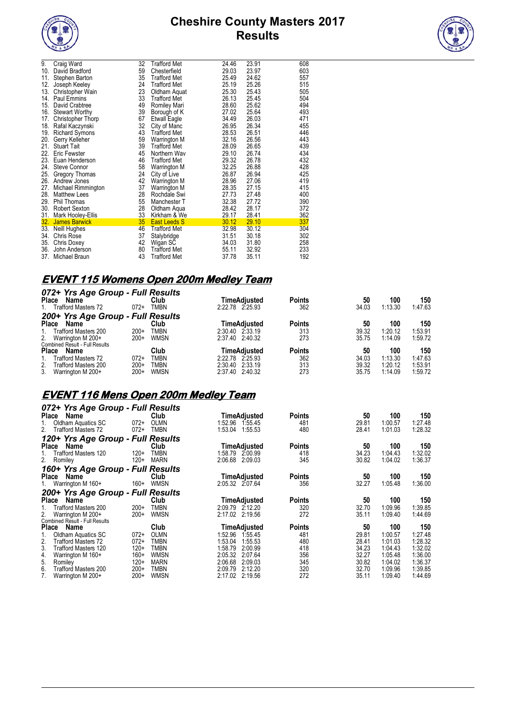



| 9.  | Craig Ward               | 32 | <b>Trafford Met</b> | 24.46 | 23.91 | 608 |
|-----|--------------------------|----|---------------------|-------|-------|-----|
| 10. | David Bradford           | 59 | Chesterfield        | 29.03 | 23.97 | 603 |
| 11. | Stephen Barton           | 35 | <b>Trafford Met</b> | 25.49 | 24.62 | 557 |
| 12. | Joseph Keeley            | 24 | <b>Trafford Met</b> | 25.19 | 25.26 | 515 |
| 13. | Christopher Wain         | 23 | Oldham Aquat        | 25.30 | 25.43 | 505 |
| 14. | Paul Emmins              | 33 | <b>Trafford Met</b> | 26.13 | 25.45 | 504 |
| 15. | David Crabtree           | 49 | Romiley Mari        | 28.60 | 25.62 | 494 |
| 16. | <b>Stewart Worthy</b>    | 39 | Borough of K        | 27.02 | 25.64 | 493 |
| 17. | <b>Christopher Thorp</b> | 67 | <b>Etwall Eagle</b> | 34.49 | 26.03 | 471 |
| 18. | Rafal Kaczynski          | 32 | City of Manc        | 26.95 | 26.34 | 455 |
| 19. | <b>Richard Symons</b>    | 43 | <b>Trafford Met</b> | 28.53 | 26.51 | 446 |
| 20. | Gerry Kelleher           | 59 | Warrington M        | 32.16 | 26.56 | 443 |
| 21. | <b>Stuart Tait</b>       | 39 | <b>Trafford Met</b> | 28.09 | 26.65 | 439 |
| 22. | <b>Eric Fewster</b>      | 45 | Northern Wav        | 29.10 | 26.74 | 434 |
| 23. | Euan Henderson           | 46 | <b>Trafford Met</b> | 29.32 | 26.78 | 432 |
| 24. | <b>Steve Connor</b>      | 58 | Warrington M        | 32.25 | 26.88 | 428 |
| 25. | Gregory Thomas           | 24 | City of Live        | 26.87 | 26.94 | 425 |
|     | 26. Andrew Jones         | 42 | <b>Warrington M</b> | 28.96 | 27.06 | 419 |
| 27. | Michael Rimmington       | 37 | Warrington M        | 28.35 | 27.15 | 415 |
| 28. | <b>Matthew Lees</b>      | 28 | Rochdale Swi        | 27.73 | 27.48 | 400 |
| 29. | Phil Thomas              | 55 | Manchester T        | 32.38 | 27.72 | 390 |
| 30. | <b>Robert Sexton</b>     | 28 | Oldham Aqua         | 28.42 | 28.17 | 372 |
| 31. | <b>Mark Hooley-Ellis</b> | 33 | Kirkham & We        | 29.17 | 28.41 | 362 |
| 32. | <b>James Barwick</b>     | 35 | <b>East Leeds S</b> | 30.12 | 29.10 | 337 |
| 33. | Neill Hughes             | 46 | <b>Trafford Met</b> | 32.98 | 30.12 | 304 |
| 34. | <b>Chris Rose</b>        | 37 | Stalybridge         | 31.51 | 30.18 | 302 |
| 35. | Chris Doxey              | 42 | Wigan SC            | 34.03 | 31.80 | 258 |
| 36. | John Anderson            | 80 | <b>Trafford Met</b> | 55.11 | 32.92 | 233 |
| 37. | Michael Braun            | 43 | <b>Trafford Met</b> | 37.78 | 35.11 | 192 |
|     |                          |    |                     |       |       |     |

# **EVENT 115 Womens Open 200m Medley Team**

| 072+ Yrs Age Group - Full Results             |        |             |                 |              |               |       |         |         |
|-----------------------------------------------|--------|-------------|-----------------|--------------|---------------|-------|---------|---------|
| <b>Place</b><br>Name                          |        | Club        |                 | TimeAdiusted | <b>Points</b> | 50    | 100     | 150     |
| Trafford Masters 72<br>1.                     | $072+$ | <b>TMBN</b> | 2:22.78 2:25.93 |              | 362           | 34.03 | 1:13.30 | 1:47.63 |
| 200+ Yrs Age Group - Full Results             |        |             |                 |              |               |       |         |         |
| <b>Place</b><br>Name                          |        | Club        |                 | TimeAdiusted | <b>Points</b> | 50    | 100     | 150     |
| Trafford Masters 200<br>1.                    | $200+$ | <b>TMBN</b> | 2:30.40 2:33.19 |              | 313           | 39.32 | 1.20.12 | 1:53.91 |
| 2. Warrington M 200+                          | $200+$ | WMSN        | 2:37.40 2:40.32 |              | 273           | 35.75 | 1:14.09 | 1:59.72 |
| <b>Combined Result - Full Results</b>         |        |             |                 |              |               |       |         |         |
| <b>Place</b><br>Name                          |        | Club        |                 | TimeAdiusted | <b>Points</b> | 50    | 100     | 150     |
| <b>Trafford Masters 72</b>                    | $072+$ | <b>TMBN</b> | 2:22.78 2:25.93 |              | 362           | 34.03 | 1.13.30 | 1:47.63 |
| 2 <sub>1</sub><br><b>Trafford Masters 200</b> | $200+$ | TMBN        | 2:30.40 2:33.19 |              | 313           | 39.32 | 1:20.12 | 1:53.91 |
| 3.<br>Warrington M 200+                       | $200+$ | <b>WMSN</b> | 2:37.40 2:40.32 |              | 273           | 35.75 | 1.14.09 | 1:59.72 |

## **EVENT 116 Mens Open 200m Medley Team**

| 072+ Yrs Age Group - Full Results |        |             |                     |               |       |         |         |
|-----------------------------------|--------|-------------|---------------------|---------------|-------|---------|---------|
| Name<br>Place                     |        | Club        | TimeAdjusted        | <b>Points</b> | 50    | 100     | 150     |
| Oldham Aquatics SC                | $072+$ | OLMN        | 1:52.96<br>1.55.45  | 481           | 29.81 | 1:00.57 | 1:27.48 |
| 2.<br><b>Trafford Masters 72</b>  | $072+$ | <b>TMBN</b> | 1:53.04<br>1:55.53  | 480           | 28.41 | 1:01.03 | 1:28.32 |
| 120+ Yrs Age Group - Full Results |        |             |                     |               |       |         |         |
| Name<br><b>Place</b>              |        | Club        | TimeAdjusted        | <b>Points</b> | 50    | 100     | 150     |
| Trafford Masters 120              | $120+$ | <b>TMBN</b> | 1:58.79 2:00.99     | 418           | 34.23 | 1:04.43 | 1:32.02 |
| 2.<br>Romiley                     | $120+$ | <b>MARN</b> | 2:06.68<br>2:09.03  | 345           | 30.82 | 1:04.02 | 1:36.37 |
| 160+ Yrs Age Group - Full Results |        |             |                     |               |       |         |         |
| Name<br>Place                     |        | Club        | <b>TimeAdjusted</b> | <b>Points</b> | 50    | 100     | 150     |
| Warrington M 160+                 | 160+   | <b>WMSN</b> | 2:05.32 2:07.64     | 356           | 32.27 | 1:05.48 | 1:36.00 |
| 200+ Yrs Age Group - Full Results |        |             |                     |               |       |         |         |
| Name<br>Place                     |        | Club        | <b>TimeAdjusted</b> | <b>Points</b> | 50    | 100     | 150     |
| Trafford Masters 200              | $200+$ | <b>TMBN</b> | 2:09.79 2:12.20     | 320           | 32.70 | 1:09.96 | 1:39.85 |
| 2.<br>Warrington M 200+           | $200+$ | <b>WMSN</b> | 2:17.02 2:19.56     | 272           | 35.11 | 1:09.40 | 1:44.69 |
| Combined Result - Full Results    |        |             |                     |               |       |         |         |
| Name<br><b>Place</b>              |        | Club        | TimeAdjusted        | <b>Points</b> | 50    | 100     | 150     |
| Oldham Aquatics SC                | $072+$ | OLMN        | 1:52.96<br>1.55.45  | 481           | 29.81 | 1:00.57 | 1:27.48 |
| 2.<br><b>Trafford Masters 72</b>  | $072+$ | TMBN        | 1:53.04<br>1:55.53  | 480           | 28.41 | 1:01.03 | 1:28.32 |
| 3.<br><b>Trafford Masters 120</b> | $120+$ | <b>TMBN</b> | 1:58.79<br>2:00.99  | 418           | 34.23 | 1:04.43 | 1:32.02 |
| 4.<br>Warrington M 160+           | $160+$ | <b>WMSN</b> | 2:05.32<br>2:07.64  | 356           | 32.27 | 1:05.48 | 1:36.00 |
| 5.<br>Romiley                     | $120+$ | <b>MARN</b> | 2:06.68<br>2:09.03  | 345           | 30.82 | 1:04.02 | 1:36.37 |
| 6.<br>Trafford Masters 200        | $200+$ | TMBN        | 2:09.79<br>2:12.20  | 320           | 32.70 | 1:09.96 | 1:39.85 |
| Warrington M 200+                 | 200+   | <b>WMSN</b> | 2:17.02<br>2:19.56  | 272           | 35.11 | 1:09.40 | 1:44.69 |